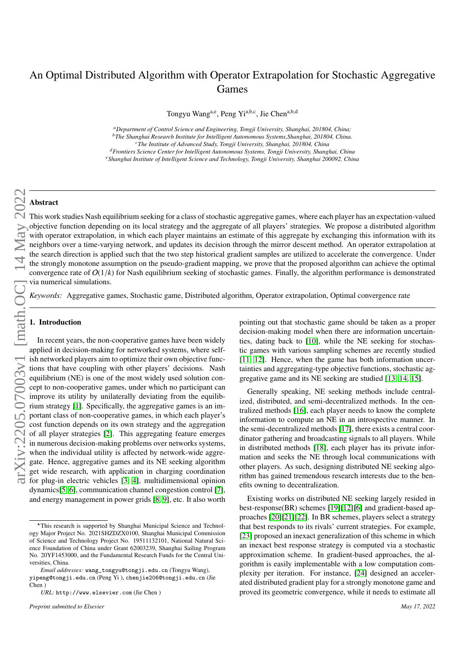# An Optimal Distributed Algorithm with Operator Extrapolation for Stochastic Aggregative Games

Tongyu Wang<sup>a,e</sup>, Peng Yi<sup>a,b,c</sup>, Jie Chen<sup>a,b,d</sup>

*<sup>a</sup>Department of Control Science and Engineering, Tongji University, Shanghai, 201804, China; <sup>b</sup>The Shanghai Research Institute for Intelligent Autonomous Systems,Shanghai, 201804, China. <sup>c</sup>The Institute of Advanced Study, Tongji University, Shanghai, 201804, China*

*<sup>d</sup>Frontiers Science Center for Intelligent Autonomous Systems, Tongji University, Shanghai, China*

*<sup>e</sup>Shanghai Institute of Intelligent Science and Technology, Tongji University, Shanghai 200092, China*

# Abstract

This work studies Nash equilibrium seeking for a class of stochastic aggregative games, where each player has an expectation-valued objective function depending on its local strategy and the aggregate of all players' strategies. We propose a distributed algorithm with operator extrapolation, in which each player maintains an estimate of this aggregate by exchanging this information with its neighbors over a time-varying network, and updates its decision through the mirror descent method. An operator extrapolation at the search direction is applied such that the two step historical gradient samples are utilized to accelerate the convergence. Under the strongly monotone assumption on the pseudo-gradient mapping, we prove that the proposed algorithm can achieve the optimal convergence rate of  $O(1/k)$  for Nash equilibrium seeking of stochastic games. Finally, the algorithm performance is demonstrated via numerical simulations.

*Keywords:* Aggregative games, Stochastic game, Distributed algorithm, Operator extrapolation, Optimal convergence rate

# 1. Introduction

In recent years, the non-cooperative games have been widely applied in decision-making for networked systems, where selfish networked players aim to optimize their own objective functions that have coupling with other players' decisions. Nash equilibrium (NE) is one of the most widely used solution concept to non-cooperative games, under which no participant can improve its utility by unilaterally deviating from the equilibrium strategy [\[1\]](#page-9-0). Specifically, the aggregative games is an important class of non-cooperative games, in which each player's cost function depends on its own strategy and the aggregation of all player strategies [\[2\]](#page-9-1). This aggregating feature emerges in numerous decision-making problems over networks systems, when the individual utility is affected by network-wide aggregate. Hence, aggregative games and its NE seeking algorithm get wide research, with application in charging coordination for plug-in electric vehicles [\[3,](#page-9-2) [4\]](#page-9-3), multidimensional opinion dynamics[\[5,](#page-9-4) [6\]](#page-9-5), communication channel congestion control [\[7\]](#page-9-6), and energy management in power grids [\[8,](#page-9-7) [9\]](#page-9-8), etc. It also worth

pointing out that stochastic game should be taken as a proper decision-making model when there are information uncertainties, dating back to [\[10\]](#page-9-9), while the NE seeking for stochastic games with various sampling schemes are recently studied [\[11,](#page-9-10) [12\]](#page-9-11). Hence, when the game has both information uncertainties and aggregating-type objective functions, stochastic aggregative game and its NE seeking are studied [\[13,](#page-9-12) [14,](#page-9-13) [15\]](#page-9-14).

Generally speaking, NE seeking methods include centralized, distributed, and semi-decentralized methods. In the centralized methods [\[16\]](#page-9-15), each player needs to know the complete information to compute an NE in an introspective manner. In the semi-decentralized methods [\[17\]](#page-9-16), there exists a central coordinator gathering and broadcasting signals to all players. While in distributed methods [\[18\]](#page-10-0), each player has its private information and seeks the NE through local communications with other players. As such, designing distributed NE seeking algorithm has gained tremendous research interests due to the benefits owning to decentralization.

Existing works on distributed NE seeking largely resided in best-response(BR) schemes [\[19\]](#page-10-1)[\[12\]](#page-9-11)[\[6\]](#page-9-5) and gradient-based approaches [\[20\]](#page-10-2)[\[21\]](#page-10-3)[\[22\]](#page-10-4). In BR schemes, players select a strategy that best responds to its rivals' current strategies. For example, [\[23\]](#page-10-5) proposed an inexact generalization of this scheme in which an inexact best response strategy is computed via a stochastic approximation scheme. In gradient-based approaches, the algorithm is easily implementable with a low computation complexity per iteration. For instance, [\[24\]](#page-10-6) designed an accelerated distributed gradient play for a strongly monotone game and proved its geometric convergence, while it needs to estimate all

<sup>?</sup>This research is supported by Shanghai Municipal Science and Technology Major Project No. 2021SHZDZX0100, Shanghai Municipal Commission of Science and Technology Project No. 19511132101, National Natural Science Foundation of China under Grant 62003239, Shanghai Sailing Program No. 20YF1453000, and the Fundamental Research Funds for the Central Universities, China.

*Email addresses:* wang\_tongyu@tongji.edu.cn (Tongyu Wang),

yipeng@tongji.edu.cn (Peng Yi ), chenjie206@tongji.edu.cn (Jie Chen )

*URL:* http://www.elsevier.com (Jie Chen )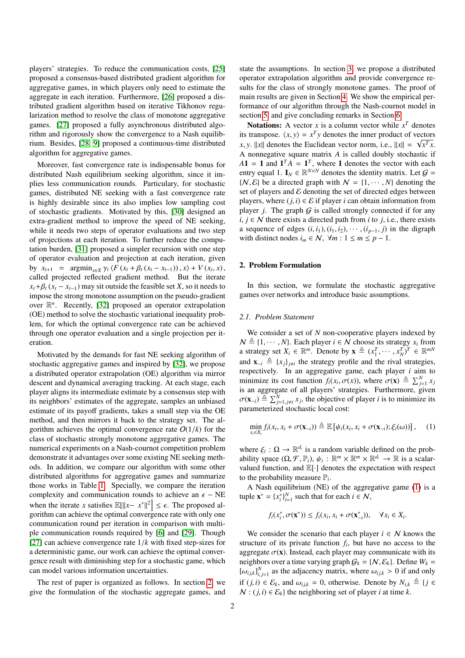players' strategies. To reduce the communication costs, [\[25\]](#page-10-7) proposed a consensus-based distributed gradient algorithm for aggregative games, in which players only need to estimate the aggregate in each iteration. Furthermore, [\[26\]](#page-10-8) proposed a distributed gradient algorithm based on iterative Tikhonov regularization method to resolve the class of monotone aggregative games. [\[27\]](#page-10-9) proposed a fully asynchronous distributed algorithm and rigorously show the convergence to a Nash equilibrium. Besides, [\[28,](#page-10-10) [9\]](#page-9-8) proposed a continuous-time distributed algorithm for aggregative games.

Moreover, fast convergence rate is indispensable bonus for distributed Nash equilibrium seeking algorithm, since it implies less communication rounds. Particulary, for stochastic games, distributed NE seeking with a fast convergence rate is highly desirable since its also implies low sampling cost of stochastic gradients. Motivated by this, [\[30\]](#page-10-11) designed an extra-gradient method to improve the speed of NE seeking, while it needs two steps of operator evaluations and two step of projections at each iteration. To further reduce the computation burden, [\[31\]](#page-10-12) proposed a simpler recursion with one step of operator evaluation and projection at each iteration, given by  $x_{t+1} = \operatorname{argmin}_{x \in X} \gamma_t \langle F(x_t + \beta_t (x_t - x_{t-1})), x \rangle + V(x_t, x)$ , called projected reflected gradient method. But the iterate called projected reflected gradient method. But the iterate  $x_t + \beta_t (x_t - x_{t-1})$  may sit outside the feasible set *X*, so it needs to impose the strong monotone assumption on the pseudo-gradient over  $\mathbb{R}^n$ . Recently, [\[32\]](#page-10-13) proposed an operator extrapolation (OE) method to solve the stochastic variational inequality problem, for which the optimal convergence rate can be achieved through one operator evaluation and a single projection per iteration.

Motivated by the demands for fast NE seeking algorithm of stochastic aggregative games and inspired by [\[32\]](#page-10-13), we propose a distributed operator extrapolation (OE) algorithm via mirror descent and dynamical averaging tracking. At each stage, each player aligns its intermediate estimate by a consensus step with its neighbors' estimates of the aggregate, samples an unbiased estimate of its payoff gradients, takes a small step via the OE method, and then mirrors it back to the strategy set. The algorithm achieves the optimal convergence rate  $O(1/k)$  for the class of stochastic strongly monotone aggregative games. The numerical experiments on a Nash-cournot competition problem demonstrate it advantages over some existing NE seeking methods. In addition, we compare our algorithm with some other distributed algorithms for aggregative games and summarize those works in Table [1.](#page-2-0) Specially, we compare the iteration complexity and communication rounds to achieve an  $\epsilon$  – NE when the iterate *x* satisfies  $\mathbb{E}[\Vert x - x^* \Vert^2] \le \epsilon$ . The proposed algorithm can achieve the ontimal convergence rate with only one gorithm can achieve the optimal convergence rate with only one communication round per iteration in comparison with multiple communication rounds required by [\[6\]](#page-9-5) and [\[29\]](#page-10-14). Though [\[27\]](#page-10-9) can achieve convergence rate 1/*<sup>k</sup>* with fixed step-sizes for a deterministic game, our work can achieve the optimal convergence result with diminishing step for a stochastic game, which can model various information uncertainties.

The rest of paper is organized as follows. In section [2,](#page-1-0) we give the formulation of the stochastic aggregate games, and

state the assumptions. In section [3,](#page-2-1) we propose a distributed operator extrapolation algorithm and provide convergence results for the class of strongly monotone games. The proof of main results are given in Section [4.](#page-4-0) We show the empirical performance of our algorithm through the Nash-cournot model in section [5,](#page-8-0) and give concluding remarks in Section [6.](#page-9-17)

**Notations:** A vector *x* is a column vector while  $x^T$  denotes its transpose.  $\langle x, y \rangle = x^T y$  denotes the inner product of vectors  $x, y$ ,  $||x||$  denotes the Euclidean vector norm i.e.  $||x|| = \sqrt{x^T x}$ *x*, *y*. ||*x*|| denotes the Euclidean vector norm, i.e.,  $||x|| = \sqrt{x^T x}$ . A nonnegative square matrix *A* is called doubly stochastic if  $A1 = 1$  and  $1^T A = 1^T$ , where 1 denotes the vector with each entry equal 1.  $I_N \in \mathbb{R}^{N \times N}$  denotes the identity matrix. Let  $\mathcal{G} =$  $\{N, \mathcal{E}\}\$ be a directed graph with  $N = \{1, \dots, N\}\$  denoting the set of players and  $\mathcal E$  denoting the set of directed edges between players, where  $(j, i) \in \mathcal{E}$  if player *i* can obtain information from player *j*. The graph  $G$  is called strongly connected if for any *i*,  $j$  ∈  $N$  there exists a directed path from *i* to *j*, i.e., there exists a sequence of edges  $(i, i_1), (i_1, i_2), \cdots, (i_{p-1}, j)$  in the digraph with distinct nodes  $i_m \in \mathcal{N}$ ,  $\forall m : 1 \le m \le p - 1$ .

## <span id="page-1-0"></span>2. Problem Formulation

In this section, we formulate the stochastic aggregative games over networks and introduce basic assumptions.

### *2.1. Problem Statement*

We consider a set of *N* non-cooperative players indexed by  $\mathcal{N} \triangleq \{1, \cdots, N\}$ . Each player  $i \in \mathcal{N}$  choose its strategy  $x_i$  from a strategy set  $X_i \in \mathbb{R}^m$ . Denote by  $\mathbf{x} \triangleq (x_1^T, \dots, x_N^T)^T \in \mathbb{R}^{mN}$ and  $\mathbf{x}_{-i} \triangleq \{x_j\}_{j \neq i}$  the strategy profile and the rival strategies, respectively. In an aggregative game, each player *i* aim to minimize its cost function  $f_i(x_i, \sigma(x))$ , where  $\sigma(\mathbf{x}) \triangleq \sum_{j=1}^{N} x_j$ <br>is an aggregate of all players' strategies. Furthermore, given is an aggregate of all players' strategies. Furthermore, given  $\sigma(\mathbf{x}_{-i}) \stackrel{\triangle}{=} \sum_{j=1, j\neq i}^{N} x_j$ , the objective of player *i* is to minimize its parameterized stochastic local cost: parameterized stochastic local cost:

<span id="page-1-1"></span>
$$
\min_{x_i \in X_i} f_i(x_i, x_i + \sigma(\mathbf{x}_{-i})) \triangleq \mathbb{E}\left[\psi_i(x_i, x_i + \sigma(\mathbf{x}_{-i}); \xi_i(\omega))\right], \quad (1)
$$

where  $\xi_i : \Omega \to \mathbb{R}^{d_i}$  is a random variable defined on the prob-<br>ability space  $(O \nsubseteq \mathbb{R}^n)$ ,  $u_i : \mathbb{R}^m \times \mathbb{R}^m \times \mathbb{R}^d$   $\to \mathbb{R}$  is a scalarability space  $(\Omega, \mathcal{F}, \mathbb{P}_i)$ ,  $\psi_i : \mathbb{R}^m \times \mathbb{R}^m \times \mathbb{R}^{d_i} \to \mathbb{R}$  is a scalar-<br>valued function, and  $\mathbb{F}[\cdot]$  denotes the expectation with respect valued function, and E[·] denotes the expectation with respect to the probability measure  $\mathbb{P}_i$ .

A Nash equilibrium (NE) of the aggregative game [\(1\)](#page-1-1) is a tuple  $\mathbf{x}^* = \{x_i^*\}_{i=1}^N$  such that for each  $i \in \mathcal{N}$ ,

$$
f_i(x_i^*, \sigma(\mathbf{x}^*)) \le f_i(x_i, x_i + \sigma(\mathbf{x}_{-i}^*)), \quad \forall x_i \in X_i.
$$

We consider the scenario that each player  $i \in \mathcal{N}$  knows the structure of its private function  $f_i$ , but have no access to the aggregate  $\sigma(\mathbf{x})$ . Instead, each player may communicate with its neighbors over a time varying graph  $G_k = \{N, \mathcal{E}_k\}$ . Define  $W_k =$  $[\omega_{ijk}]_{i,j=1}^N$  as the adjacency matrix, where  $\omega_{ijk} > 0$  if and only if (*j*, *i*) ∈  $\mathcal{E}_k$ , and  $\omega_{ijk} = 0$ , otherwise. Denote by  $N_{i,k} \triangleq \{j \in$  $N$  : (*j*, *i*) ∈  $\mathcal{E}_k$ } the neighboring set of player *i* at time *k*.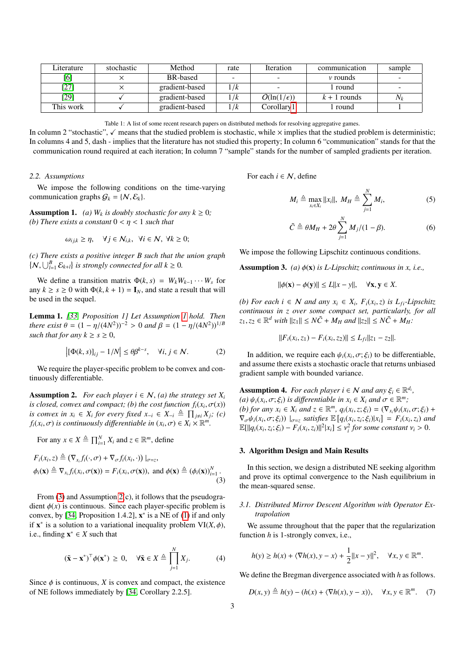| Literature | stochastic | Method          | rate | <i><u><b>Iteration</b></u></i> | communication  | sample |
|------------|------------|-----------------|------|--------------------------------|----------------|--------|
| [6]        |            | <b>BR-based</b> |      |                                | $\nu$ rounds   |        |
| [27]       |            | gradient-based  | 1/k  |                                | 1 round        |        |
| $[29]$     |            | gradient-based  | 1/k  | $O(\ln(1/\epsilon))$           | $k + 1$ rounds | $N_k$  |
| This work  |            | gradient-based  | 1/k  | Corollarv 1                    | l round        |        |
|            |            |                 |      |                                |                |        |

<span id="page-2-2"></span>Table 1: A list of some recent research papers on distributed methods for resolving aggregative games.

In column 2 "stochastic",  $\checkmark$  means that the studied problem is stochastic, while  $\times$  implies that the studied problem is deterministic; In columns 4 and 5, dash - implies that the literature has not studied this property; In column 6 "communication" stands for that the communication round required at each iteration; In column 7 "sample" stands for the number of sampled gradients per iteration.

# *2.2. Assumptions*

We impose the following conditions on the time-varying communication graphs  $G_k = \{N, \mathcal{E}_k\}.$ 

**Assumption 1.** *(a)*  $W_k$  *is doubly stochastic for any*  $k \geq 0$ *; (b)* There exists a constant  $0 < \eta < 1$  such that

$$
\omega_{ijk} \ge \eta, \quad \forall j \in \mathcal{N}_{i,k}, \ \forall i \in \mathcal{N}, \ \forall k \ge 0;
$$

*(c) There exists a positive integer B such that the union graph*  $\{N, \bigcup_{l=1}^{B} \mathcal{E}_{k+l}\}\$ is strongly connected for all  $k \geq 0$ .

We define a transition matrix  $\Phi(k, s) = W_k W_{k-1} \cdots W_s$  for any  $k \ge s \ge 0$  with  $\Phi(k, k + 1) = I_N$ , and state a result that will be used in the sequel.

Lemma 1. *[\[33,](#page-10-15) Proposition 1] Let Assumption [1](#page-2-2) hold. Then there exist*  $\theta = (1 - \eta/(4N^2))^{-2} > 0$  *and*  $\beta = (1 - \eta/(4N^2))^{1/B}$ <br>such that for any  $k > s > 0$ *such that for any*  $k \geq s \geq 0$ ,

$$
\left| \left[ \Phi(k, s) \right]_{ij} - 1/N \right| \le \theta \beta^{k - s}, \quad \forall i, j \in \mathcal{N}.
$$
 (2)

We require the player-specific problem to be convex and continuously differentiable.

<span id="page-2-4"></span>**Assumption 2.** *For each player*  $i \in \mathcal{N}$ , *(a) the strategy set*  $X_i$ *is closed, convex and compact; (b) the cost function*  $f_i(x_i, \sigma(x))$ *<br><i>is convex in*  $x_i \in X$ *, for every fixed*  $x_i \in X \oplus \Pi$ ,  $X \oplus (c)$ *is convex in*  $x_i \in X_i$  *for every fixed*  $x_{-i} \in X_{-i} \triangleq \prod_{j \neq i} X_j$ *; (c)*  $f_i(x_i, \sigma)$  *is continuously differentiable in*  $(x_i, \sigma) \in X_i \times \mathbb{R}^m$ .

For any 
$$
x \in X \triangleq \prod_{i=1}^{N} X_i
$$
 and  $z \in \mathbb{R}^m$ , define

$$
F_i(x_i, z) \triangleq (\nabla_{x_i} f_i(\cdot, \sigma) + \nabla_{\sigma} f_i(x_i, \cdot)) |_{\sigma = z},
$$
  
\n
$$
\phi_i(\mathbf{x}) \triangleq \nabla_{x_i} f_i(x_i, \sigma(\mathbf{x})) = F_i(x_i, \sigma(\mathbf{x})), \text{ and } \phi(\mathbf{x}) \triangleq (\phi_i(\mathbf{x}))_{i=1}^N.
$$
\n(3)

From  $(3)$  and Assumption  $2(c)$ , it follows that the pseudogradient  $\phi(x)$  is continuous. Since each player-specific problem is convex, by [\[34,](#page-10-16) Proposition 1.4.2],  $\mathbf{x}^*$  is a NE of [\(1\)](#page-1-1) if and only if  $\mathbf{x}^*$  is a solution to a variational inequality problem  $\mathbf{VI}(X, \phi)$ ,<br>i.e. finding  $\mathbf{x}^* \in X$  such that i.e., finding  $\mathbf{x}^* \in X$  such that

$$
(\tilde{\mathbf{x}} - \mathbf{x}^*)^\top \phi(\mathbf{x}^*) \ge 0, \quad \forall \tilde{\mathbf{x}} \in X \triangleq \prod_{j=1}^N X_j.
$$
 (4)

Since  $\phi$  is continuous, *X* is convex and compact, the existence of NE follows immediately by [\[34,](#page-10-16) Corollary 2.2.5].

For each  $i \in \mathcal{N}$ , define

<span id="page-2-8"></span><span id="page-2-0"></span>
$$
M_i \triangleq \max_{x_i \in X_i} ||x_i||, \ M_H \triangleq \sum_{j=1}^N M_i,
$$
 (5)

<span id="page-2-9"></span><span id="page-2-6"></span>
$$
\tilde{C} \triangleq \theta M_H + 2\theta \sum_{j=1}^{N} M_j / (1 - \beta). \tag{6}
$$

We impose the following Lipschitz continuous conditions.

Assumption 3. *(a)* φ(x) *is L-Lipschitz continuous in x, i.e.,*

 $\|\phi(\mathbf{x}) - \phi(\mathbf{y})\| \le L\|x - y\|, \quad \forall \mathbf{x}, \mathbf{y} \in X.$ 

*(b)* For each *i* ∈ *N* and any  $x_i$  ∈  $X_i$ ,  $F_i(x_i, z)$  *is L<sub>fi</sub>*-Lipschitz continuous in z over some compact set particularly for all *continuous in z over some compact set, particularly, for all*  $z_1, z_2 \in \mathbb{R}^d$  *with*  $||z_1|| \leq N\tilde{C} + M_H$  *and*  $||z_2|| \leq N\tilde{C} + M_H$ :

$$
||F_i(x_i, z_1) - F_i(x_i, z_2)|| \le L_{fil} ||z_1 - z_2||.
$$

<span id="page-2-7"></span>In addition, we require each  $\psi_i(x_i, \sigma; \xi_i)$  to be differentiable, d assume there exists a stochastic oracle that returns unbiased and assume there exists a stochastic oracle that returns unbiased gradient sample with bounded variance.

<span id="page-2-5"></span>**Assumption 4.** *For each player i*  $\in$  *N and any*  $\xi_i \in \mathbb{R}^{d_i}$ , *(a)*  $\mu(x, \sigma; \xi_i)$  *is differentiable in*  $x_i \in X$ , and  $\sigma \in \mathbb{R}^m$ . (a)  $\psi_i(x_i, \sigma; \xi_i)$  *is differentiable in*  $x_i \in X_i$  *and*  $\sigma \in \mathbb{R}^m$ ;<br>(b) for any  $x_i \in X$  and  $z \in \mathbb{R}^m$ ,  $a(x_i, z; \xi_i) = (\nabla_x) b(x_i, \tau_i)$ (b) for any  $x_i \in X_i$  and  $z \in \mathbb{R}^m$ ,  $q_i(x_i, z; \xi_i) = (\nabla_{x_i} \psi_i(x_i, \sigma; \xi_i) + \nabla_{x_i} \psi_i(x_i, \sigma; \xi_i)$  +  $\sigma_i(x_i, z_i)$  and  $\nabla_{\sigma}\psi_i(x_i, \sigma; \xi_i)$   $|_{\sigma=z}$  satisfies  $\mathbb{E}\left[q_i(x_i, z_i; \xi_i)|x_i\right] = F_i(x_i, z_i)$  and  $\mathbb{E}\left[||g_i(x_i, z_i; \xi_i) - F_i(x_i, z_i)||^2\right]$  to the same constant  $y_i > 0$  $\mathbb{E}[\|q_i(x_i, z_i; \xi_i) - F_i(x_i, z_i)\|^2 |x_i| \leq v_i^2$  for some constant  $v_i > 0$ .

### <span id="page-2-1"></span>3. Algorithm Design and Main Results

<span id="page-2-3"></span>In this section, we design a distributed NE seeking algorithm and prove its optimal convergence to the Nash equilibrium in the mean-squared sense.

# *3.1. Distributed Mirror Descent Algorithm with Operator Extrapolation*

We assume throughout that the paper that the regularization function *h* is 1-strongly convex, i.e.,

$$
h(y) \ge h(x) + \langle \nabla h(x), y - x \rangle + \frac{1}{2} ||x - y||^2, \quad \forall x, y \in \mathbb{R}^m.
$$

We define the Bregman divergence associated with *h* as follows.

<span id="page-2-10"></span>
$$
D(x, y) \triangleq h(y) - (h(x) + \langle \nabla h(x), y - x \rangle), \quad \forall x, y \in \mathbb{R}^m. \tag{7}
$$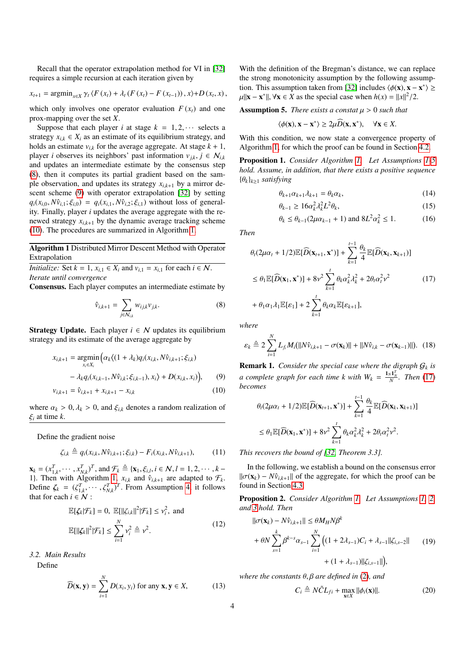Recall that the operator extrapolation method for VI in [\[32\]](#page-10-13) requires a simple recursion at each iteration given by

$$
x_{t+1} = \arg\min_{x \in X} \gamma_t \langle F(x_t) + \lambda_t (F(x_t) - F(x_{t-1})), x \rangle + D(x_t, x),
$$

which only involves one operator evaluation  $F(x_t)$  and one prox-mapping over the set *X*.

Suppose that each player *i* at stage  $k = 1, 2, \cdots$  selects a strategy  $x_{i,k} \in X_i$  as an estimate of its equilibrium strategy, and holds an estimate  $v_{i,k}$  for the average aggregate. At stage  $k + 1$ , player *i* observes its neighbors' past information  $v_{jk}$ ,  $j \in \mathcal{N}_{i,k}$ and updates an intermediate estimate by the consensus step [\(8\)](#page-3-0), then it computes its partial gradient based on the sample observation, and updates its strategy  $x_{i,k+1}$  by a mirror descent scheme [\(9\)](#page-3-1) with operator extrapolation [\[32\]](#page-10-13) by setting  $q_i(x_{i,0}, N\hat{v}_{i,1}; \xi_{i,0}) = q_i(x_{i,1}, N\hat{v}_{i,2}; \xi_{i,1})$  without loss of generality. Finally, player *i* updates the average aggregate with the renewed strategy  $x_{i,k+1}$  by the dynamic average tracking scheme [\(10\)](#page-3-2). The procedures are summarized in Algorithm [1.](#page-3-3)

Algorithm 1 Distributed Mirror Descent Method with Operator Extrapolation

<span id="page-3-3"></span>*Initialize:* Set  $k = 1$ ,  $x_{i,1} \in X_i$  and  $v_{i,1} = x_{i,1}$  for each  $i \in \mathcal{N}$ . *Iterate until convergence*

Consensus. Each player computes an intermediate estimate by

$$
\hat{\nu}_{i,k+1} = \sum_{j \in \mathcal{N}_{i,k}} w_{ij,k} \nu_{j,k}.
$$
 (8)

**Strategy Update.** Each player  $i \in \mathcal{N}$  updates its equilibrium strategy and its estimate of the average aggregate by

$$
x_{i,k+1} = \underset{x_i \in X_i}{\text{argmin}} \Big( \alpha_k \langle (1 + \lambda_k) q_i(x_{i,k}, N \hat{v}_{i,k+1}; \xi_{i,k}) - \lambda_k q_i(x_{i,k-1}, N \hat{v}_{i,k}; \xi_{i,k-1}), x_i \rangle + D(x_{i,k}, x_i) \Big), \qquad (9)
$$

$$
v_{i,k+1} = \hat{v}_{i,k+1} + x_{i,k+1} - x_{i,k}
$$
 (10)

where  $\alpha_k > 0$ ,  $\lambda_k > 0$ , and  $\xi_{ik}$  denotes a random realization of <sup>ξ</sup>*<sup>i</sup>* at time *<sup>k</sup>*.

Define the gradient noise

$$
\zeta_{i,k} \triangleq q_i(x_{i,k}, N\hat{v}_{i,k+1}; \xi_{i,k}) - F_i(x_{i,k}, N\hat{v}_{i,k+1}), \qquad (11)
$$

 $\mathbf{x}_k = (x_{1,k}^T, \dots, x_{N,k}^T)^T$ , and  $\mathcal{F}_k \triangleq {\mathbf{x}_1, \xi_{i,l}, i \in \mathcal{N}, l = 1, 2, \dots, k-1}$ <br>
1) Then with Algorithm 1,  $\mathbf{x}_i$  and  $\hat{\mathbf{x}}_{i,j}$  are adapted to  $\mathcal{F}_i$  $\mathbf{A}_k = (x_{1,k}, \dots, x_{N,k})$ , and  $\mathbf{A}_k = (\mathbf{A}_1, \mathbf{b}_1, \mathbf{b}_2, \dots, \mathbf{b}_n)$ <br>
1). Then with Algorithm [1,](#page-3-3)  $x_{i,k}$  and  $\hat{v}_{i,k+1}$  are adapted to  $\mathcal{F}_k$ .<br>
Define  $\mathcal{F}_k = (\mathcal{F}_k^T, \dots, \mathcal{F}_k^T)^T$ . From Assumption 4, it Define  $\zeta_k = (\zeta_{1,k}^T, \dots, \zeta_{N,k}^T)^T$ . From Assumption [4,](#page-2-5) it follows that for each  $i \in \mathcal{N}$ :

$$
\mathbb{E}[\zeta_k|\mathcal{F}_k] = 0, \ \mathbb{E}[\|\zeta_{i,k}\|^2|\mathcal{F}_k] \le \nu_i^2, \text{ and}
$$

$$
\mathbb{E}[\|\zeta_k\|^2|\mathcal{F}_k] \le \sum_{i=1}^N \nu_i^2 \triangleq \nu^2.
$$
 (12)

<span id="page-3-13"></span>*3.2. Main Results*

Define

$$
\widehat{D}(\mathbf{x}, \mathbf{y}) = \sum_{i=1}^{N} D(x_i, y_i) \text{ for any } \mathbf{x}, \mathbf{y} \in X,
$$
 (13)

With the definition of the Bregman's distance, we can replace the strong monotonicity assumption by the following assump-tion. This assumption taken from [\[32\]](#page-10-13) includes  $\langle \phi(\mathbf{x}), \mathbf{x} - \mathbf{x}^* \rangle \ge$ <br>  $\mathbf{u} \parallel \mathbf{x} - \mathbf{x}^* \parallel \forall \mathbf{x} \in \mathbf{X}$  as the special case when  $h(\mathbf{x}) = ||\mathbf{x}||^2/2$  $\mu \| \mathbf{x} - \mathbf{x}^* \|$ ,  $\forall \mathbf{x} \in X$  as the special case when  $h(x) = \|x\|^2/2$ .

**Assumption 5.** *There exists a constat*  $\mu > 0$  *such that* 

<span id="page-3-6"></span><span id="page-3-4"></span>
$$
\langle \phi(\mathbf{x}), \mathbf{x} - \mathbf{x}^* \rangle \ge 2\mu \widehat{D}(\mathbf{x}, \mathbf{x}^*), \quad \forall \mathbf{x} \in X.
$$

With this condition, we now state a convergence property of Algorithm [1,](#page-3-3) for which the proof can be found in Section [4.2.](#page-6-0)

Proposition 1. *Consider Algorithm [1.](#page-3-3) Let Assumptions [1](#page-2-2)[-5](#page-3-4) hold. Assume, in addition, that there exists a positive sequence* {θ*k*}*k*≥<sup>1</sup> *satisfying*

<span id="page-3-10"></span><span id="page-3-9"></span>
$$
\theta_{k+1}\alpha_{k+1}\lambda_{k+1} = \theta_k\alpha_k, \tag{14}
$$

$$
\theta_{k-1} \ge 16\alpha_k^2 \lambda_k^2 L^2 \theta_k,\tag{15}
$$

<span id="page-3-14"></span>
$$
\theta_k \le \theta_{k-1} (2\mu \alpha_{k-1} + 1)
$$
 and  $8L^2 \alpha_k^2 \le 1$ . (16)

*Then*

<span id="page-3-5"></span>
$$
\theta_t(2\mu\alpha_t + 1/2)\mathbb{E}[\widehat{D}(\mathbf{x}_{t+1}, \mathbf{x}^*)] + \sum_{k=1}^{t-1} \frac{\theta_k}{4} \mathbb{E}[\widehat{D}(\mathbf{x}_k, \mathbf{x}_{k+1})]
$$
\n
$$
\leq \theta_1 \mathbb{E}[\widehat{D}(\mathbf{x}_1, \mathbf{x}^*)] + 8\nu^2 \sum_{k=1}^t \theta_k \alpha_k^2 \lambda_k^2 + 2\theta_t \alpha_t^2 \nu^2
$$
\n
$$
+ \theta_1 \alpha_1 \lambda_1 \mathbb{E}[\varepsilon_1] + 2 \sum_{k=1}^t \theta_k \alpha_k \mathbb{E}[\varepsilon_{k+1}],
$$
\n(17)

<span id="page-3-0"></span>*where*

<span id="page-3-12"></span>
$$
\varepsilon_k \triangleq 2 \sum_{i=1}^N L_{f_i} M_i(||N \hat{v}_{i,k+1} - \sigma(\mathbf{x}_k)|| + ||N \hat{v}_{i,k} - \sigma(\mathbf{x}_{k-1})||). \tag{18}
$$

 $\sum_{k=1}$ 

<span id="page-3-2"></span><span id="page-3-1"></span>**Remark 1.** *Consider the special case where the digraph*  $G_k$  *is a* complete graph for each time k with  $W_k = \frac{1_N 1_N^T}{N}$ . Then [\(17\)](#page-3-5) *becomes*

$$
\theta_t(2\mu\alpha_t + 1/2)\mathbb{E}[\widehat{D}(\mathbf{x}_{t+1}, \mathbf{x}^*)] + \sum_{k=1}^{t-1} \frac{\theta_k}{4} \mathbb{E}[\widehat{D}(\mathbf{x}_k, \mathbf{x}_{k+1})]
$$
  
\n
$$
\leq \theta_1 \mathbb{E}[\widehat{D}(\mathbf{x}_1, \mathbf{x}^*)] + 8\nu^2 \sum_{k=1}^t \theta_k \alpha_k^2 \lambda_k^2 + 2\theta_t \alpha_t^2 \nu^2.
$$

<span id="page-3-11"></span>*This recovers the bound of [\[32,](#page-10-13) Theorem 3.3].*

In the following, we establish a bound on the consensus error  $\|\sigma(\mathbf{x}_k) - N\hat{v}_{i,k+1}\|$  of the aggregate, for which the proof can be found in Section [4.3.](#page-7-0)

Proposition 2. *Consider Algorithm [1.](#page-3-3) Let Assumptions [1,](#page-2-2) [2,](#page-2-4) and [3](#page-2-6) hold. Then*

<span id="page-3-16"></span><span id="page-3-7"></span>
$$
\|\sigma(\mathbf{x}_{k}) - N\hat{v}_{i,k+1}\| \leq \theta M_{H} N \beta^{k}
$$
  
+  $\theta N \sum_{s=1}^{k} \beta^{k-s} \alpha_{s-1} \sum_{i=1}^{N} \left( (1 + 2\lambda_{s-1}) C_{i} + \lambda_{s-1} ||\zeta_{i,s-2}||$  (19)  
+  $(1 + \lambda_{s-1}) ||\zeta_{i,s-1}||$ ,

<span id="page-3-8"></span>*where the constants* θ, β *are defined in* [\(2\)](#page-2-7)*, and*

<span id="page-3-15"></span>
$$
C_i \triangleq N\tilde{C}L_{fi} + \max_{\mathbf{x}\in X} ||\phi_i(\mathbf{x})||. \tag{20}
$$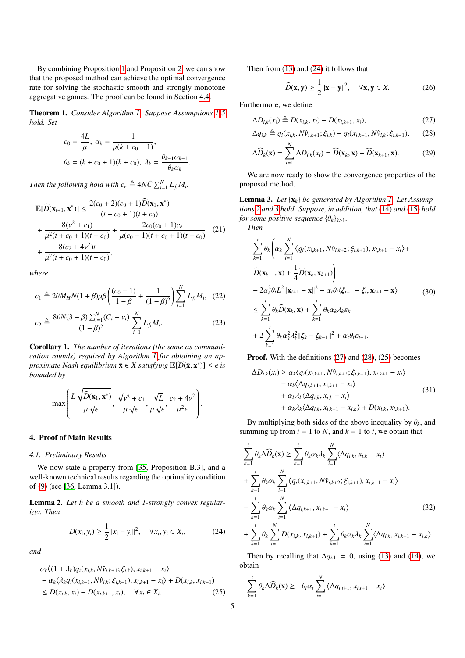By combining Proposition [1](#page-3-6) and Proposition [2,](#page-3-7) we can show that the proposed method can achieve the optimal convergence rate for solving the stochastic smooth and strongly monotone aggregative games. The proof can be found in Section [4.4.](#page-7-1)

Theorem 1. *Consider Algorithm [1.](#page-3-3) Suppose Assumptions [1](#page-2-2)[-5](#page-3-4) hold. Set*

$$
c_0 = \frac{4L}{\mu}, \ \alpha_k = \frac{1}{\mu(k + c_0 - 1)},
$$

$$
\theta_k = (k + c_0 + 1)(k + c_0), \ \lambda_k = \frac{\theta_{k-1}\alpha_{k-1}}{\theta_k\alpha_k}
$$

*Then the following hold with*  $c_e \triangleq 4N\tilde{C} \sum_{i=1}^{N} L_{f_i} M_i$ *.* 

$$
\mathbb{E}[\widehat{D}(\mathbf{x}_{t+1}, \mathbf{x}^*)] \le \frac{2(c_0 + 2)(c_0 + 1)\widehat{D}(\mathbf{x}_1, \mathbf{x}^*)}{(t + c_0 + 1)(t + c_0)} \n+ \frac{8(\nu^2 + c_1)}{\mu^2(t + c_0 + 1)(t + c_0)} + \frac{2c_0(c_0 + 1)c_e}{\mu(c_0 - 1)(t + c_0 + 1)(t + c_0)} \tag{21} \n+ \frac{8(c_2 + 4\nu^2)t}{\mu^2(t + c_0 + 1)(t + c_0)},
$$

*where*

$$
c_1 \triangleq 2\theta M_H N (1 + \beta) \mu \beta \left( \frac{(c_0 - 1)}{1 - \beta} + \frac{1}{(1 - \beta)^2} \right) \sum_{i=1}^N L_{f_i} M_i, (22)
$$
  

$$
c_2 \triangleq \frac{8\theta N (3 - \beta) \sum_{i=1}^N (C_i + v_i)}{(1 - \beta)^2} \sum_{i=1}^N L_{f_i} M_i.
$$
 (23)

<span id="page-4-1"></span>Corollary 1. *The number of iterations (the same as communication rounds) required by Algorithm [1](#page-3-3) for obtaining an approximate Nash equilibrium*  $\bar{\mathbf{x}} \in X$  *satisfying*  $\mathbb{E}[\widehat{D}(\bar{\mathbf{x}}, \mathbf{x}^*)] \leq \epsilon$  *is hounded* by *bounded by*

$$
\max\left(\frac{L\sqrt{\widehat{D}(\mathbf{x}_1,\mathbf{x}^*)}}{\mu\sqrt{\epsilon}},\frac{\sqrt{\nu^2+c_1}}{\mu\sqrt{\epsilon}},\frac{\sqrt{L}}{\mu\sqrt{\epsilon}},\frac{c_2+4\nu^2}{\mu^2\epsilon}\right).
$$

# <span id="page-4-0"></span>4. Proof of Main Results

### *4.1. Preliminary Results*

We now state a property from [\[35,](#page-10-17) Proposition B.3], and a well-known technical results regarding the optimality condition of [\(9\)](#page-3-1) (see [\[36,](#page-10-18) Lemma 3.1]).

Lemma 2. *Let h be a smooth and 1-strongly convex regularizer. Then*

$$
D(x_i, y_i) \ge \frac{1}{2} ||x_i - y_i||^2, \quad \forall x_i, y_i \in X_i,
$$
 (24)

*and*

$$
\alpha_k \langle (1 + \lambda_k) q_i(x_{i,k}, N\hat{v}_{i,k+1}; \xi_{i,k}), x_{i,k+1} - x_i \rangle \n- \alpha_k \langle \lambda_k q_i(x_{i,k-1}, N\hat{v}_{i,k}; \xi_{i,k-1}), x_{i,k+1} - x_i \rangle + D(x_{i,k}, x_{i,k+1}) \n\le D(x_{i,k}, x_i) - D(x_{i,k+1}, x_i), \quad \forall x_i \in X_i.
$$
\n(25)

Then from [\(13\)](#page-3-8) and [\(24\)](#page-4-2) it follows that

<span id="page-4-7"></span><span id="page-4-6"></span><span id="page-4-4"></span><span id="page-4-3"></span>
$$
\widehat{D}(\mathbf{x}, \mathbf{y}) \ge \frac{1}{2} ||\mathbf{x} - \mathbf{y}||^2, \quad \forall \mathbf{x}, \mathbf{y} \in X.
$$
 (26)

<span id="page-4-9"></span>Furthermore, we define

$$
\Delta D_{i,k}(x_i) \triangleq D(x_{i,k}, x_i) - D(x_{i,k+1}, x_i),\tag{27}
$$

$$
\Delta q_{i,k} \triangleq q_i(x_{i,k}, N\hat{v}_{i,k+1}; \xi_{i,k}) - q_i(x_{i,k-1}, N\hat{v}_{i,k}; \xi_{i,k-1}), \qquad (28)
$$

$$
\Delta \widehat{D}_k(\mathbf{x}) = \sum_{i=1}^N \Delta D_{i,k}(x_i) = \widehat{D}(\mathbf{x}_k, \mathbf{x}) - \widehat{D}(\mathbf{x}_{k+1}, \mathbf{x}).
$$
 (29)

We are now ready to show the convergence properties of the proposed method.

Lemma 3. *Let* {x*k*} *be generated by Algorithm [1.](#page-3-3) Let Assumptions [2](#page-2-4) and [3](#page-2-6) hold. Suppose, in addition, that* [\(14\)](#page-3-9) *and* [\(15\)](#page-3-10) *hold for some positive sequence*  $\{\theta_k\}_{k>1}$ *. Then*

<span id="page-4-10"></span><span id="page-4-8"></span>
$$
\sum_{k=1}^{t} \theta_k \left( \alpha_k \sum_{i=1}^{N} \left\langle q_i(x_{i,k+1}, N\hat{v}_{i,k+2}; \xi_{i,k+1}), x_{i,k+1} - x_i \right\rangle + \widetilde{D}(\mathbf{x}_{k+1}, \mathbf{x}) + \frac{1}{4} \widehat{D}(\mathbf{x}_k, \mathbf{x}_{k+1}) \right)
$$
\n
$$
- 2\alpha_t^2 \theta_t L^2 \|\mathbf{x}_{t+1} - \mathbf{x}\|^2 - \alpha_t \theta_t \langle \xi_{t+1} - \xi_t, \mathbf{x}_{t+1} - \mathbf{x} \rangle \qquad (30)
$$
\n
$$
\leq \sum_{k=1}^{t} \theta_k \widehat{D}(\mathbf{x}_k, \mathbf{x}) + \sum_{k=1}^{t} \theta_k \alpha_k \lambda_k \varepsilon_k
$$
\n
$$
+ 2 \sum_{k=1}^{t} \theta_k \alpha_k^2 \lambda_k^2 \|\xi_k - \xi_{k-1}\|^2 + \alpha_t \theta_t \varepsilon_{t+1}.
$$

<span id="page-4-11"></span>Proof. With the definitions [\(27\)](#page-4-3) and [\(28\)](#page-4-4), [\(25\)](#page-4-5) becomes

$$
\Delta D_{i,k}(x_i) \ge \alpha_k \langle q_i(x_{i,k+1}, N\hat{v}_{i,k+2}; \xi_{i,k+1}), x_{i,k+1} - x_i \rangle \n- \alpha_k \langle \Delta q_{i,k+1}, x_{i,k+1} - x_i \rangle \n+ \alpha_k \lambda_k \langle \Delta q_{i,k}, x_{i,k} - x_i \rangle \n+ \alpha_k \lambda_k \langle \Delta q_{i,k}, x_{i,k+1} - x_{i,k} \rangle + D(x_{i,k}, x_{i,k+1}).
$$
\n(31)

By multiplying both sides of the above inequality by  $\theta_k$ , and summing up from  $i = 1$  to *N*, and  $k = 1$  to *t*, we obtain that

$$
\sum_{k=1}^{t} \theta_{k} \Delta \widehat{D}_{k}(\mathbf{x}) \geq \sum_{k=1}^{t} \theta_{k} \alpha_{k} \lambda_{k} \sum_{i=1}^{N} \langle \Delta q_{i,k}, x_{i,k} - x_{i} \rangle
$$
  
+ 
$$
\sum_{k=1}^{t} \theta_{k} \alpha_{k} \sum_{i=1}^{N} \langle q_{i}(x_{i,k+1}, N\hat{v}_{i,k+2}; \xi_{i,k+1}), x_{i,k+1} - x_{i} \rangle
$$
  
- 
$$
\sum_{k=1}^{t} \theta_{k} \alpha_{k} \sum_{i=1}^{N} \langle \Delta q_{i,k+1}, x_{i,k+1} - x_{i} \rangle
$$
(32)  
+ 
$$
\sum_{k=1}^{t} \theta_{k} \sum_{i=1}^{N} D(x_{i,k}, x_{i,k+1}) + \sum_{k=1}^{t} \theta_{k} \alpha_{k} \lambda_{k} \sum_{i=1}^{N} \langle \Delta q_{i,k}, x_{i,k+1} - x_{i,k} \rangle.
$$

<span id="page-4-2"></span>Then by recalling that  $\Delta q_{i,1} = 0$ , using [\(13\)](#page-3-8) and [\(14\)](#page-3-9), we obtain

<span id="page-4-5"></span>
$$
\sum_{k=1}^{t} \theta_k \Delta \widehat{D}_k(\mathbf{x}) \ge -\theta_t \alpha_t \sum_{i=1}^{N} \left\langle \Delta q_{i,t+1}, x_{i,t+1} - x_i \right\rangle
$$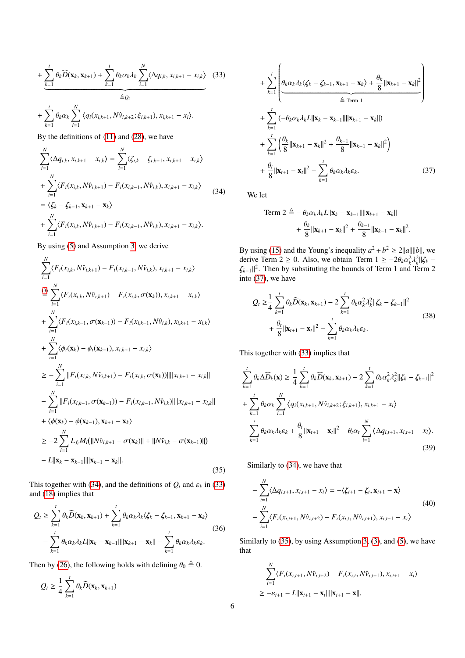$$
+\underbrace{\sum_{k=1}^{t} \theta_k \widehat{D}(\mathbf{x}_k, \mathbf{x}_{k+1}) + \sum_{k=1}^{t} \theta_k \alpha_k \lambda_k \sum_{i=1}^{N} \langle \Delta q_{i,k}, x_{i,k+1} - x_{i,k} \rangle}_{\triangleq Q_t} \quad (33)
$$
  
+ 
$$
\sum_{k=1}^{t} \theta_k \alpha_k \sum_{i=1}^{N} \langle q_i(x_{i,k+1}, N \hat{v}_{i,k+2}; \xi_{i,k+1}), x_{i,k+1} - x_i \rangle.
$$

By the definitions of [\(11\)](#page-3-11) and [\(28\)](#page-4-4), we have

<span id="page-5-0"></span>
$$
\sum_{i=1}^{N} \langle \Delta q_{i,k}, x_{i,k+1} - x_{i,k} \rangle = \sum_{i=1}^{N} \langle \zeta_{i,k} - \zeta_{i,k-1}, x_{i,k+1} - x_{i,k} \rangle \n+ \sum_{i=1}^{N} \langle F_i(x_{i,k}, N \hat{v}_{i,k+1}) - F_i(x_{i,k-1}, N \hat{v}_{i,k}), x_{i,k+1} - x_{i,k} \rangle \n= \langle \zeta_k - \zeta_{k-1}, x_{k+1} - x_k \rangle \n+ \sum_{i=1}^{N} \langle F_i(x_{i,k}, N \hat{v}_{i,k+1}) - F_i(x_{i,k-1}, N \hat{v}_{i,k}), x_{i,k+1} - x_{i,k} \rangle.
$$
\n(34)

By using [\(5\)](#page-2-8) and Assumption [3,](#page-2-6) we derive

<span id="page-5-3"></span>
$$
\sum_{i=1}^{N} \langle F_{i}(x_{i,k}, N\hat{v}_{i,k+1}) - F_{i}(x_{i,k-1}, N\hat{v}_{i,k}), x_{i,k+1} - x_{i,k} \rangle
$$
\n
$$
\stackrel{(3)}{=} \sum_{i=1}^{N} \langle F_{i}(x_{i,k}, N\hat{v}_{i,k+1}) - F_{i}(x_{i,k}, \sigma(\mathbf{x}_{k})), x_{i,k+1} - x_{i,k} \rangle
$$
\n
$$
+ \sum_{i=1}^{N} \langle F_{i}(x_{i,k-1}, \sigma(\mathbf{x}_{k-1})) - F_{i}(x_{i,k-1}, N\hat{v}_{i,k}), x_{i,k+1} - x_{i,k} \rangle
$$
\n
$$
+ \sum_{i=1}^{N} \langle \phi_{i}(\mathbf{x}_{k}) - \phi_{i}(\mathbf{x}_{k-1}), x_{i,k+1} - x_{i,k} \rangle
$$
\n
$$
\geq - \sum_{i=1}^{N} ||F_{i}(x_{i,k}, N\hat{v}_{i,k+1}) - F_{i}(x_{i,k}, \sigma(\mathbf{x}_{k}))|| ||x_{i,k+1} - x_{i,k}||
$$
\n
$$
- \sum_{i=1}^{N} ||F_{i}(x_{i,k-1}, \sigma(\mathbf{x}_{k-1})) - F_{i}(x_{i,k-1}, N\hat{v}_{i,k})|| ||x_{i,k+1} - x_{i,k}||
$$
\n
$$
+ \langle \phi(\mathbf{x}_{k}) - \phi(\mathbf{x}_{k-1}), \mathbf{x}_{k+1} - \mathbf{x}_{k} \rangle
$$
\n
$$
\geq -2 \sum_{i=1}^{N} L_{fi} M_{i}(||N\hat{v}_{i,k+1} - \sigma(\mathbf{x}_{k})|| + ||N\hat{v}_{i,k} - \sigma(\mathbf{x}_{k-1})||)
$$
\n
$$
- L || \mathbf{x}_{k} - \mathbf{x}_{k-1} || || \mathbf{x}_{k+1} - \mathbf{x}_{k} ||.
$$
\n(35)

This together with [\(34\)](#page-5-0), and the definitions of  $Q_t$  and  $\varepsilon_k$  in [\(33\)](#page-5-1) and [\(18\)](#page-3-12) implies that

$$
Q_t \geq \sum_{k=1}^t \theta_k \widehat{D}(\mathbf{x}_k, \mathbf{x}_{k+1}) + \sum_{k=1}^t \theta_k \alpha_k \lambda_k \langle \zeta_k - \zeta_{k-1}, \mathbf{x}_{k+1} - \mathbf{x}_k \rangle
$$
  
- 
$$
\sum_{k=1}^t \theta_k \alpha_k \lambda_k L \|\mathbf{x}_k - \mathbf{x}_{k-1}\| \|\mathbf{x}_{k+1} - \mathbf{x}_k\| - \sum_{k=1}^t \theta_k \alpha_k \lambda_k \varepsilon_k.
$$
 (36)

Then by [\(26\)](#page-4-6), the following holds with defining  $\theta_0 \triangleq 0$ .

$$
Q_t \geq \frac{1}{4} \sum_{k=1}^t \theta_k \widehat{D}(\mathbf{x}_k, \mathbf{x}_{k+1})
$$

<span id="page-5-1"></span>
$$
+\sum_{k=1}^{t}\left(\frac{\theta_{k}\alpha_{k}\lambda_{k}\langle\zeta_{k}-\zeta_{k-1},\mathbf{x}_{k+1}-\mathbf{x}_{k}\rangle+\frac{\theta_{k}}{8}\|\mathbf{x}_{k+1}-\mathbf{x}_{k}\|^{2}}{\hat{\Xi}_{\text{Term 1}}}\right) +\sum_{k=1}^{t}\left(-\theta_{k}\alpha_{k}\lambda_{k}L\|\mathbf{x}_{k}-\mathbf{x}_{k-1}\|\|\mathbf{x}_{k+1}-\mathbf{x}_{k}\|\right) +\sum_{k=1}^{t}\left(\frac{\theta_{k}}{8}\|\mathbf{x}_{k+1}-\mathbf{x}_{k}\|^{2}+\frac{\theta_{k-1}}{8}\|\mathbf{x}_{k-1}-\mathbf{x}_{k}\|^{2}\right) +\frac{\theta_{t}}{8}\|\mathbf{x}_{t+1}-\mathbf{x}_{t}\|^{2}-\sum_{k=1}^{t}\theta_{k}\alpha_{k}\lambda_{k}\varepsilon_{k}.
$$
 (37)

We let

<span id="page-5-2"></span>Term 2 
$$
\triangleq - \theta_k \alpha_k \lambda_k L ||\mathbf{x}_k - \mathbf{x}_{k-1}|| ||\mathbf{x}_{k+1} - \mathbf{x}_k||
$$
  
+  $\frac{\theta_k}{8} ||\mathbf{x}_{k+1} - \mathbf{x}_k||^2 + \frac{\theta_{k-1}}{8} ||\mathbf{x}_{k-1} - \mathbf{x}_k||^2$ 

By using [\(15\)](#page-3-10) and the Young's inequality  $a^2 + b^2 \ge 2||a|| ||b||$ , we derive Term 2 ≥ 0. Also, we obtain Term  $1 \ge -2\theta_k \alpha_k^2 \lambda_k$ <br>  $\lambda_k$   $\alpha_k^2$  Then by substituting the bounds of Term 1 and 7  $\frac{2}{k}$ || $\zeta_k$  −<br><sup>[</sup>erm ?]  $\zeta_{k-1}$ |<sup>2</sup>. Then by substituting the bounds of Term 1 and Term 2 into (37), we have into [\(37\)](#page-5-2), we have

$$
Q_{t} \geq \frac{1}{4} \sum_{k=1}^{t} \theta_{k} \widehat{D}(\mathbf{x}_{k}, \mathbf{x}_{k+1}) - 2 \sum_{k=1}^{t} \theta_{k} \alpha_{k}^{2} \lambda_{k}^{2} ||\zeta_{k} - \zeta_{k-1}||^{2}
$$
  
+  $\frac{\theta_{t}}{8} ||\mathbf{x}_{t+1} - \mathbf{x}_{t}||^{2} - \sum_{k=1}^{t} \theta_{k} \alpha_{k} \lambda_{k} \varepsilon_{k}.$  (38)

This together with [\(33\)](#page-5-1) implies that

<span id="page-5-4"></span>
$$
\sum_{k=1}^{t} \theta_{k} \Delta \widehat{D}_{k}(\mathbf{x}) \geq \frac{1}{4} \sum_{k=1}^{t} \theta_{k} \widehat{D}(\mathbf{x}_{k}, \mathbf{x}_{k+1}) - 2 \sum_{k=1}^{t} \theta_{k} \alpha_{k}^{2} \lambda_{k}^{2} ||\zeta_{k} - \zeta_{k-1}||^{2} + \sum_{k=1}^{t} \theta_{k} \alpha_{k} \sum_{i=1}^{N} \langle q_{i}(x_{i,k+1}, N \hat{v}_{i,k+2}; \xi_{i,k+1}), x_{i,k+1} - x_{i} \rangle - \sum_{k=1}^{t} \theta_{k} \alpha_{k} \lambda_{k} \varepsilon_{k} + \frac{\theta_{t}}{8} ||\mathbf{x}_{t+1} - \mathbf{x}_{t}||^{2} - \theta_{t} \alpha_{t} \sum_{i=1}^{N} \langle \Delta q_{i,t+1}, x_{i,t+1} - x_{i} \rangle.
$$
\n(39)

Similarly to [\(34\)](#page-5-0), we have that

$$
-\sum_{i=1}^{N} \langle \Delta q_{i,t+1}, x_{i,t+1} - x_i \rangle = -\langle \zeta_{t+1} - \zeta_t, \mathbf{x}_{t+1} - \mathbf{x} \rangle
$$
  
-
$$
\sum_{i=1}^{N} \langle F_i(x_{i,t+1}, N\hat{v}_{i,t+2}) - F_i(x_{i,t}, N\hat{v}_{i,t+1}), x_{i,t+1} - x_i \rangle
$$
 (40)

Similarly to [\(35\)](#page-5-3), by using Assumption [3,](#page-2-6) [\(3\)](#page-2-3), and [\(5\)](#page-2-8), we have that

$$
- \sum_{i=1}^{N} \langle F_i(x_{i,t+1}, N\hat{v}_{i,t+2}) - F_i(x_{i,t}, N\hat{v}_{i,t+1}), x_{i,t+1} - x_i \rangle
$$
  
 
$$
\geq -\varepsilon_{t+1} - L ||\mathbf{x}_{t+1} - \mathbf{x}_t|| ||\mathbf{x}_{t+1} - \mathbf{x}||.
$$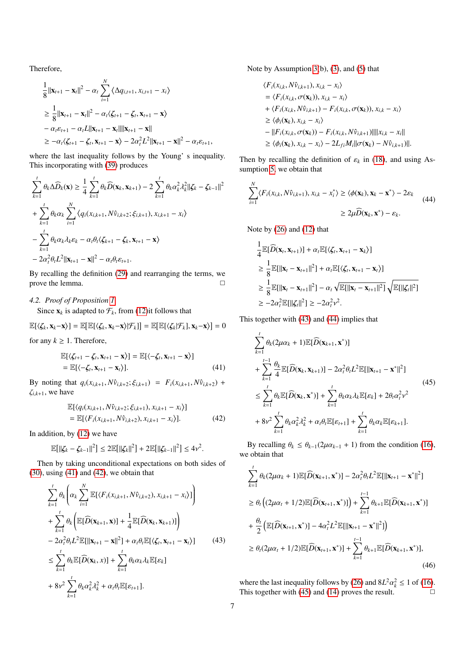Therefore,

$$
\frac{1}{8}||\mathbf{x}_{t+1} - \mathbf{x}_t||^2 - \alpha_t \sum_{i=1}^N \langle \Delta q_{i,t+1}, x_{i,t+1} - x_i \rangle
$$
\n
$$
\geq \frac{1}{8}||\mathbf{x}_{t+1} - \mathbf{x}_t||^2 - \alpha_t \langle \zeta_{t+1} - \zeta_t, \mathbf{x}_{t+1} - \mathbf{x} \rangle
$$
\n
$$
-\alpha_t \varepsilon_{t+1} - \alpha_t L||\mathbf{x}_{t+1} - \mathbf{x}_t||||\mathbf{x}_{t+1} - \mathbf{x}||
$$
\n
$$
\geq -\alpha_t \langle \zeta_{t+1} - \zeta_t, \mathbf{x}_{t+1} - \mathbf{x} \rangle - 2\alpha_t^2 L^2 ||\mathbf{x}_{t+1} - \mathbf{x}||^2 - \alpha_t \varepsilon_{t+1},
$$

where the last inequality follows by the Young' s inequality. This incorporating with [\(39\)](#page-5-4) produces

$$
\sum_{k=1}^{t} \theta_k \Delta \widehat{D}_k(\mathbf{x}) \ge \frac{1}{4} \sum_{k=1}^{t} \theta_k \widehat{D}(\mathbf{x}_k, \mathbf{x}_{k+1}) - 2 \sum_{k=1}^{t} \theta_k \alpha_k^2 \lambda_k^2 ||\zeta_k - \zeta_{k-1}||^2
$$
  
+ 
$$
\sum_{k=1}^{t} \theta_k \alpha_k \sum_{i=1}^{N} \langle q_i(x_{i,k+1}, N \hat{v}_{i,k+2}; \xi_{i,k+1}), x_{i,k+1} - x_i \rangle
$$
  
- 
$$
\sum_{k=1}^{t} \theta_k \alpha_k \lambda_k \varepsilon_k - \alpha_t \theta_t \langle \zeta_{k+1} - \zeta_k, \mathbf{x}_{t+1} - \mathbf{x} \rangle
$$
  
- 
$$
2\alpha_t^2 \theta_t L^2 ||\mathbf{x}_{t+1} - \mathbf{x}||^2 - \alpha_t \theta_t \varepsilon_{t+1}.
$$

By recalling the definition [\(29\)](#page-4-7) and rearranging the terms, we prove the lemma.  $\Box$ 

# <span id="page-6-0"></span>*4.2. Proof of Proposition [1](#page-3-6)*

Since  $\mathbf{x}_k$  is adapted to  $\mathcal{F}_k$ , from [\(12\)](#page-3-13)it follows that

$$
\mathbb{E}[\langle \zeta_k, \mathbf{x}_k - \mathbf{x} \rangle] = \mathbb{E}[\mathbb{E}[\langle \zeta_k, \mathbf{x}_k - \mathbf{x} \rangle | \mathcal{F}_k]] = \mathbb{E}[\mathbb{E}[\langle \zeta_k | \mathcal{F}_k], \mathbf{x}_k - \mathbf{x} \rangle] = 0
$$

for any  $k \geq 1$ . Therefore,

$$
\mathbb{E}[\langle \zeta_{t+1} - \zeta_t, \mathbf{x}_{t+1} - \mathbf{x} \rangle] = \mathbb{E}[\langle -\zeta_t, \mathbf{x}_{t+1} - \mathbf{x} \rangle] \n= \mathbb{E}[\langle -\zeta_t, \mathbf{x}_{t+1} - \mathbf{x}_t \rangle].
$$
\n(41)

By noting that  $q_i(x_{i,k+1}, N\hat{v}_{i,k+2}; \xi_{i,k+1}) = F_i(x_{i,k+1}, N\hat{v}_{i,k+2})$  +  $\zeta_{i,k+1}$ , we have

$$
\mathbb{E}[\langle q_i(x_{i,k+1}, N\hat{v}_{i,k+2}; \xi_{i,k+1}), x_{i,k+1} - x_i \rangle] \n= \mathbb{E}[\langle F_i(x_{i,k+1}, N\hat{v}_{i,k+2}), x_{i,k+1} - x_i \rangle].
$$
\n(42)

In addition, by [\(12\)](#page-3-13) we have

$$
\mathbb{E}[||\zeta_k - \zeta_{k-1}||^2] \le 2\mathbb{E}[||\zeta_k||^2] + 2\mathbb{E}[||\zeta_{k-1}||^2] \le 4\nu^2.
$$

Then by taking unconditional expectations on both sides of [\(30\)](#page-4-8), using [\(41\)](#page-6-1) and [\(42\)](#page-6-2), we obtain that

<span id="page-6-3"></span>
$$
\sum_{k=1}^{t} \theta_k \left( \alpha_k \sum_{i=1}^{N} \mathbb{E}[\langle F_i(x_{i,k+1}, N\hat{v}_{i,k+2}), x_{i,k+1} - x_i \rangle] \right) \n+ \sum_{k=1}^{t} \theta_k \left( \mathbb{E}[\widehat{D}(\mathbf{x}_{k+1}, \mathbf{x})] + \frac{1}{4} \mathbb{E}[\widehat{D}(\mathbf{x}_k, \mathbf{x}_{k+1})] \right) \n- 2\alpha_t^2 \theta_t L^2 \mathbb{E}[\|\mathbf{x}_{t+1} - \mathbf{x}\|^2] + \alpha_t \theta_t \mathbb{E}[\langle \zeta_t, \mathbf{x}_{t+1} - \mathbf{x}_t \rangle] \qquad (43) \n\leq \sum_{k=1}^{t} \theta_k \mathbb{E}[\widehat{D}(\mathbf{x}_k, x)] + \sum_{k=1}^{t} \theta_k \alpha_k \lambda_k \mathbb{E}[\varepsilon_k] \n+ 8v^2 \sum_{k=1}^{t} \theta_k \alpha_k^2 \lambda_k^2 + \alpha_t \theta_t \mathbb{E}[\varepsilon_{t+1}].
$$

Note by Assumption [3\(](#page-2-6)b), [\(3\)](#page-2-3), and [\(5\)](#page-2-8) that

$$
\langle F_i(x_{i,k}, N\hat{v}_{i,k+1}), x_{i,k} - x_i \rangle
$$
  
\n
$$
= \langle F_i(x_{i,k}, \sigma(\mathbf{x}_k)), x_{i,k} - x_i \rangle
$$
  
\n
$$
+ \langle F_i(x_{i,k}, N\hat{v}_{i,k+1}) - F_i(x_{i,k}, \sigma(\mathbf{x}_k)), x_{i,k} - x_i \rangle
$$
  
\n
$$
\geq \langle \phi_i(\mathbf{x}_k), x_{i,k} - x_i \rangle
$$
  
\n
$$
- ||F_i(x_{i,k}, \sigma(\mathbf{x}_k)) - F_i(x_{i,k}, N\hat{v}_{i,k+1})|| ||x_{i,k} - x_i||
$$
  
\n
$$
\geq \langle \phi_i(\mathbf{x}_k), x_{i,k} - x_i \rangle - 2L_{fi} M_i || \sigma(\mathbf{x}_k) - N\hat{v}_{i,k+1} ||.
$$

Then by recalling the definition of  $\varepsilon_k$  in [\(18\)](#page-3-12), and using Assumption [5,](#page-3-4) we obtain that

<span id="page-6-4"></span>
$$
\sum_{i=1}^{N} \langle F_i(x_{i,k}, N\hat{v}_{i,k+1}), x_{i,k} - x_i^* \rangle \ge \langle \phi(\mathbf{x}_k), \mathbf{x}_k - \mathbf{x}^* \rangle - 2\varepsilon_k
$$
\n
$$
\ge 2\mu \widehat{D}(\mathbf{x}_k, \mathbf{x}^*) - \varepsilon_k.
$$
\n(44)

Note by [\(26\)](#page-4-6) and [\(12\)](#page-3-13) that

$$
\frac{1}{4}\mathbb{E}[\widehat{D}(\mathbf{x}_{t}, \mathbf{x}_{t+1})] + \alpha_{t} \mathbb{E}[\langle \zeta_{t}, \mathbf{x}_{t+1} - \mathbf{x}_{k} \rangle] \n\geq \frac{1}{8}\mathbb{E}[\|\mathbf{x}_{t} - \mathbf{x}_{t+1}\|^{2}] + \alpha_{t} \mathbb{E}[\langle \zeta_{t}, \mathbf{x}_{t+1} - \mathbf{x}_{t} \rangle] \n\geq \frac{1}{8}\mathbb{E}[\|\mathbf{x}_{t} - \mathbf{x}_{t+1}\|^{2}] - \alpha_{t} \sqrt{\mathbb{E}[\|\mathbf{x}_{t} - \mathbf{x}_{t+1}\|^{2}]} \sqrt{\mathbb{E}[\|\zeta_{t}\|^{2}]} \n\geq -2\alpha_{t}^{2} \mathbb{E}[\|\zeta_{t}\|^{2}] \geq -2\alpha_{t}^{2} \nu^{2}.
$$

This together with [\(43\)](#page-6-3) and [\(44\)](#page-6-4) implies that

<span id="page-6-5"></span><span id="page-6-1"></span>
$$
\sum_{k=1}^{t} \theta_k (2\mu \alpha_k + 1) \mathbb{E}[\widehat{D}(\mathbf{x}_{k+1}, \mathbf{x}^*)]
$$
\n
$$
+ \sum_{k=1}^{t-1} \frac{\theta_k}{4} \mathbb{E}[\widehat{D}(\mathbf{x}_k, \mathbf{x}_{k+1})] - 2\alpha_t^2 \theta_t L^2 \mathbb{E}[\|\mathbf{x}_{t+1} - \mathbf{x}^*\|^2]
$$
\n
$$
\leq \sum_{k=1}^{t} \theta_k \mathbb{E}[\widehat{D}(\mathbf{x}_k, \mathbf{x}^*)] + \sum_{k=1}^{t} \theta_k \alpha_k \lambda_k \mathbb{E}[\varepsilon_k] + 2\theta_t \alpha_t^2 \nu^2
$$
\n
$$
+ 8\nu^2 \sum_{k=1}^{t} \theta_k \alpha_k^2 \lambda_k^2 + \alpha_t \theta_t \mathbb{E}[\varepsilon_{t+1}] + \sum_{k=1}^{t} \theta_k \alpha_k \mathbb{E}[\varepsilon_{k+1}].
$$
\n(45)

<span id="page-6-2"></span>By recalling  $\theta_k \leq \theta_{k-1}(2\mu\alpha_{k-1} + 1)$  from the condition [\(16\)](#page-3-14), we obtain that

$$
\sum_{k=1}^{t} \theta_k (2\mu \alpha_k + 1) \mathbb{E}[\widehat{D}(\mathbf{x}_{k+1}, \mathbf{x}^*)] - 2\alpha_t^2 \theta_t L^2 \mathbb{E}[\|\mathbf{x}_{t+1} - \mathbf{x}^*\|^2]
$$
\n
$$
\geq \theta_t \left( (2\mu \alpha_t + 1/2) \mathbb{E}[\widehat{D}(\mathbf{x}_{t+1}, \mathbf{x}^*)] \right) + \sum_{k=1}^{t-1} \theta_{k+1} \mathbb{E}[\widehat{D}(\mathbf{x}_{k+1}, \mathbf{x}^*)]
$$
\n
$$
+ \frac{\theta_t}{2} \left( \mathbb{E}[\widehat{D}(\mathbf{x}_{t+1}, \mathbf{x}^*)] - 4\alpha_t^2 L^2 \mathbb{E}[\|\mathbf{x}_{t+1} - \mathbf{x}^*\|^2] \right)
$$
\n
$$
\geq \theta_t (2\mu \alpha_t + 1/2) \mathbb{E}[\widehat{D}(\mathbf{x}_{t+1}, \mathbf{x}^*)] + \sum_{k=1}^{t-1} \theta_{k+1} \mathbb{E}[\widehat{D}(\mathbf{x}_{k+1}, \mathbf{x}^*)],
$$
\n(46)

where the last inequality follows by [\(26\)](#page-4-6) and  $8L^2\alpha_k^2 \le 1$  of [\(16\)](#page-3-14). This together with [\(45\)](#page-6-5) and [\(14\)](#page-3-9) proves the result.  $\Box$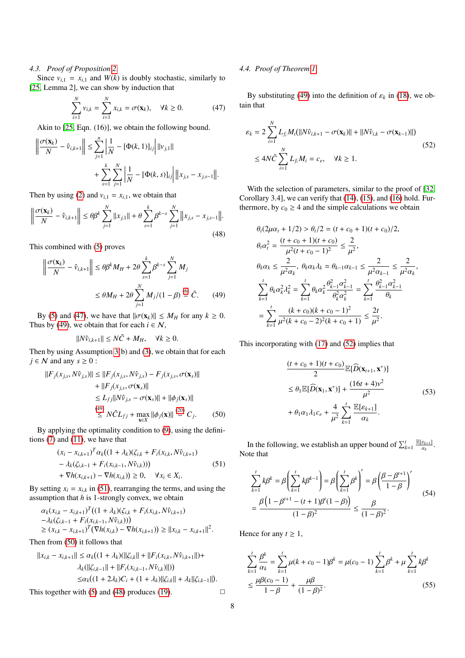# <span id="page-7-0"></span>*4.3. Proof of Proposition [2.](#page-3-7)*

Since  $v_{i,1} = x_{i,1}$  and  $W(k)$  is doubly stochastic, similarly to [\[25,](#page-10-7) Lemma 2], we can show by induction that

$$
\sum_{i=1}^{N} v_{i,k} = \sum_{i=1}^{N} x_{i,k} = \sigma(\mathbf{x}_k), \quad \forall k \ge 0.
$$
 (47)

Akin to [\[25,](#page-10-7) Eqn. (16)], we obtain the following bound.

$$
\left\| \frac{\sigma(\mathbf{x}_k)}{N} - \hat{v}_{i,k+1} \right\| \le \sum_{j=1}^n \left| \frac{1}{N} - [\Phi(k, 1)]_{ij} \right| ||v_{j,1}||
$$
  
+ 
$$
\sum_{s=1}^k \sum_{j=1}^N \left| \frac{1}{N} - [\Phi(k, s)]_{ij} \right| ||x_{j,s} - x_{j,s-1}||.
$$

Then by using [\(2\)](#page-2-7) and  $v_{i,1} = x_{i,1}$ , we obtain that

<span id="page-7-6"></span>
$$
\left\|\frac{\sigma(\mathbf{x}_k)}{N} - \hat{v}_{i,k+1}\right\| \le \theta \beta^k \sum_{j=1}^N \|x_{j,1}\| + \theta \sum_{s=1}^k \beta^{k-s} \sum_{j=1}^N \left\|x_{j,s} - x_{j,s-1}\right\|.
$$
\n(48)

This combined with [\(5\)](#page-2-8) proves

$$
\left\| \frac{\sigma(\mathbf{x}_k)}{N} - \hat{v}_{i,k+1} \right\| \le \theta \beta^k M_H + 2\theta \sum_{s=1}^k \beta^{k-s} \sum_{j=1}^N M_j
$$
  

$$
\le \theta M_H + 2\theta \sum_{j=1}^N M_j / (1 - \beta) \stackrel{(6)}{=} \tilde{C}.
$$
 (49)

By [\(5\)](#page-2-8) and [\(47\)](#page-7-2), we have that  $\|\sigma(\mathbf{x}_k)\| \le M_H$  for any  $k \ge 0$ . Thus by [\(49\)](#page-7-3), we obtain that for each  $i \in \mathcal{N}$ ,

$$
||N\hat{v}_{i,k+1}|| \leq N\tilde{C} + M_H, \quad \forall k \geq 0.
$$

Then by using Assumption [3\(](#page-2-6)b) and [\(3\)](#page-2-3), we obtain that for each  $j \in \mathcal{N}$  and any  $s \geq 0$ :

$$
||F_j(x_{j,s}, N\hat{v}_{j,s})|| \le ||F_j(x_{j,s}, N\hat{v}_{j,s}) - F_j(x_{j,s}, \sigma(\mathbf{x}_s)||
$$
  
+ 
$$
||F_j(x_{j,s}, \sigma(\mathbf{x}_s)||
$$
  

$$
\le L_{fj}||N\hat{v}_{j,s} - \sigma(\mathbf{x}_s)|| + ||\phi_j(\mathbf{x}_s)||
$$
  

$$
\overset{(49)}{\le} N\tilde{C}L_{fj} + \max_{\mathbf{x}\in X} ||\phi_j(\mathbf{x})|| \overset{(20)}{=} C_j.
$$
 (50)

By applying the optimality condition to [\(9\)](#page-3-1), using the definitions [\(7\)](#page-2-10) and [\(11\)](#page-3-11), we have that

$$
(x_i - x_{i,k+1})^T \alpha_k ((1 + \lambda_k)(\zeta_{i,k} + F_i(x_{i,k}, N\hat{v}_{i,k+1})
$$
  
\t
$$
- \lambda_k (\zeta_{i,k-1} + F_i(x_{i,k-1}, N\hat{v}_{i,k})))
$$
  
\t
$$
+ \nabla h(x_{i,k+1}) - \nabla h(x_{i,k})) \ge 0, \quad \forall x_i \in X_i.
$$
  
(51)

<span id="page-7-4"></span>By setting  $x_i = x_{i,k}$  in [\(51\)](#page-7-4), rearranging the terms, and using the assumption that *h* is 1-strongly convex, we obtain

$$
\alpha_k (x_{i,k} - x_{i,k+1})^T ((1 + \lambda_k)(\zeta_{i,k} + F_i(x_{i,k}, N\hat{v}_{i,k+1}) -\lambda_k(\zeta_{i,k-1} + F_i(x_{i,k-1}, N\hat{v}_{i,k})))
$$
  
\n
$$
\ge (x_{i,k} - x_{i,k+1})^T (\nabla h(x_{i,k}) - \nabla h(x_{i,k+1})) \ge ||x_{i,k} - x_{i,k+1}||^2.
$$

Then from [\(50\)](#page-7-5) it follows that

$$
||x_{i,k} - x_{i,k+1}|| \le \alpha_k((1 + \lambda_k)(||\zeta_{i,k}|| + ||F_i(x_{i,k}, N\hat{v}_{i,k+1}||) + \lambda_k(||\zeta_{i,k-1}|| + ||F_i(x_{i,k-1}, N\hat{v}_{i,k})||))
$$
  

$$
\le \alpha_k((1 + 2\lambda_k)C_i + (1 + \lambda_k)||\zeta_{i,k}|| + \lambda_k||\zeta_{i,k-1}||).
$$

This together with [\(5\)](#page-2-8) and [\(48\)](#page-7-6) produces [\(19\)](#page-3-16).  $\Box$ 

# <span id="page-7-1"></span>*4.4. Proof of Theorem [1](#page-4-9)*

<span id="page-7-2"></span>By substituting [\(49\)](#page-7-3) into the definition of  $\varepsilon_k$  in [\(18\)](#page-3-12), we obtain that

<span id="page-7-7"></span>
$$
\varepsilon_k = 2 \sum_{i=1}^N L_{f_i} M_i (||N \hat{v}_{i,k+1} - \sigma(\mathbf{x}_k)|| + ||N \hat{v}_{i,k} - \sigma(\mathbf{x}_{k-1})||)
$$
  

$$
\leq 4N \tilde{C} \sum_{i=1}^N L_{f_i} M_i = c_e, \quad \forall k \geq 1.
$$
 (52)

With the selection of parameters, similar to the proof of [\[32,](#page-10-13) Corollary 3.4], we can verify that [\(14\)](#page-3-9), [\(15\)](#page-3-10), and [\(16\)](#page-3-14) hold. Furthermore, by  $c_0 \geq 4$  and the simple calculations we obtain

$$
\theta_t (2\mu\alpha_t + 1/2) > \theta_t/2 = (t + c_0 + 1)(t + c_0)/2,
$$
  
\n
$$
\theta_t \alpha_t^2 = \frac{(t + c_0 + 1)(t + c_0)}{\mu^2 (t + c_0 - 1)^2} \le \frac{2}{\mu^2},
$$
  
\n
$$
\theta_k \alpha_k \le \frac{2}{\mu^2 \alpha_k}, \ \theta_k \alpha_k \lambda_k = \theta_{k-1} \alpha_{k-1} \le \frac{2}{\mu^2 \alpha_{k-1}} \le \frac{2}{\mu^2 \alpha_k},
$$
  
\n
$$
\sum_{k=1}^t \theta_k \alpha_k^2 \lambda_k^2 = \sum_{k=1}^t \theta_k \alpha_k^2 \frac{\theta_{k-1}^2 \alpha_{k-1}^2}{\theta_k^2 \alpha_k^2} = \sum_{k=1}^t \frac{\theta_{k-1}^2 \alpha_{k-1}^2}{\theta_k}
$$
  
\n
$$
= \sum_{k=1}^t \frac{(k + c_0)(k + c_0 - 1)^2}{\mu^2 (k + c_0 - 2)^2 (k + c_0 + 1)} \le \frac{2t}{\mu^2}.
$$

<span id="page-7-10"></span><span id="page-7-3"></span>This incorporating with [\(17\)](#page-3-5) and [\(52\)](#page-7-7) implies that

$$
\frac{(t+c_0+1)(t+c_0)}{2} \mathbb{E}[\widehat{D}(\mathbf{x}_{t+1}, \mathbf{x}^*)]
$$
  
\n
$$
\leq \theta_1 \mathbb{E}[\widehat{D}(\mathbf{x}_1, \mathbf{x}^*)] + \frac{(16t+4)v^2}{\mu^2}
$$
  
\n
$$
+ \theta_1 \alpha_1 \lambda_1 c_e + \frac{4}{\mu^2} \sum_{k=1}^t \frac{\mathbb{E}[\varepsilon_{k+1}]}{\alpha_k}.
$$
\n(53)

<span id="page-7-5"></span>In the following, we establish an upper bound of  $\sum_{k=1}^{t} \frac{\mathbb{E}[E_{k+1}]}{\alpha_k}$ . Note that

<span id="page-7-8"></span>
$$
\sum_{k=1}^{t} k\beta^{k} = \beta \left( \sum_{k=1}^{t} k\beta^{k-1} \right) = \beta \left( \sum_{k=1}^{t} \beta^{k} \right)' = \beta \left( \frac{\beta - \beta^{t+1}}{1 - \beta} \right)'
$$
\n
$$
= \frac{\beta \left( 1 - \beta^{t+1} - (t+1)\beta^{t} (1 - \beta) \right)}{(1 - \beta)^{2}} \le \frac{\beta}{(1 - \beta)^{2}}.
$$
\n(54)

Hence for any  $t \geq 1$ ,

<span id="page-7-9"></span>
$$
\sum_{k=1}^{t} \frac{\beta^{k}}{\alpha_{k}} = \sum_{k=1}^{t} \mu(k + c_{0} - 1)\beta^{k} = \mu(c_{0} - 1)\sum_{k=1}^{t} \beta^{k} + \mu \sum_{k=1}^{t} k\beta^{k}
$$
  

$$
\leq \frac{\mu\beta(c_{0} - 1)}{1 - \beta} + \frac{\mu\beta}{(1 - \beta)^{2}}.
$$
 (55)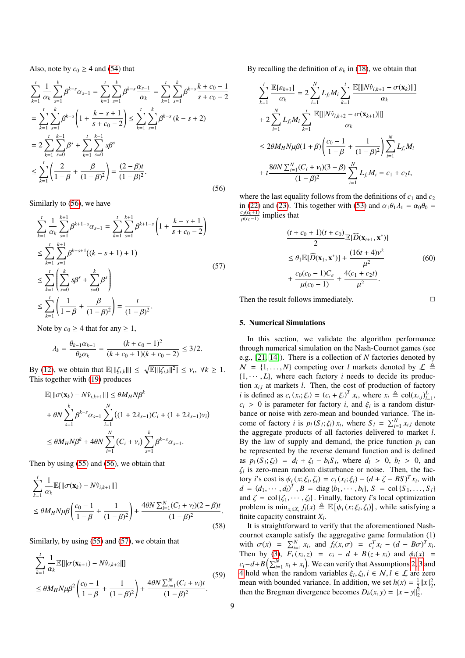Also, note by  $c_0 \geq 4$  and [\(54\)](#page-7-8) that

<span id="page-8-1"></span>
$$
\sum_{k=1}^{t} \frac{1}{\alpha_k} \sum_{s=1}^{k} \beta^{k-s} \alpha_{s-1} = \sum_{k=1}^{t} \sum_{s=1}^{k} \beta^{k-s} \frac{\alpha_{s-1}}{\alpha_k} = \sum_{k=1}^{t} \sum_{s=1}^{k} \beta^{k-s} \frac{k+c_0-1}{s+c_0-2}
$$
\n
$$
= \sum_{k=1}^{t} \sum_{s=1}^{k} \beta^{k-s} \left(1 + \frac{k-s+1}{s+c_0-2}\right) \le \sum_{k=1}^{t} \sum_{s=1}^{k} \beta^{k-s} \left(k-s+2\right)
$$
\n
$$
= 2 \sum_{k=1}^{t} \sum_{s=0}^{k-1} \beta^s + \sum_{k=1}^{t} \sum_{s=0}^{k-1} s \beta^s
$$
\n
$$
\le \sum_{k=1}^{t} \left(\frac{2}{1-\beta} + \frac{\beta}{(1-\beta)^2}\right) = \frac{(2-\beta)t}{(1-\beta)^2}.
$$
\n(56)

Similarly to [\(56\)](#page-8-1), we have

<span id="page-8-2"></span>
$$
\sum_{k=1}^{t} \frac{1}{\alpha_k} \sum_{s=1}^{k+1} \beta^{k+1-s} \alpha_{s-1} = \sum_{k=1}^{t} \sum_{s=1}^{k+1} \beta^{k+1-s} \left( 1 + \frac{k-s+1}{s+c_0-2} \right)
$$
\n
$$
\leq \sum_{k=1}^{t} \sum_{s=1}^{k+1} \beta^{k-s+1} ((k-s+1)+1)
$$
\n
$$
\leq \sum_{k=1}^{t} \left( \sum_{s=0}^{k} s \beta^s + \sum_{s=0}^{k} \beta^s \right)
$$
\n
$$
\leq \sum_{k=1}^{t} \left( \frac{1}{1-\beta} + \frac{\beta}{(1-\beta)^2} \right) = \frac{t}{(1-\beta)^2}.
$$
\n(57)

Note by  $c_0 \geq 4$  that for any  $\geq 1$ ,

$$
\lambda_k = \frac{\theta_{k-1}\alpha_{k-1}}{\theta_k\alpha_k} = \frac{(k+c_0-1)^2}{(k+c_0+1)(k+c_0-2)} \le 3/2.
$$

By [\(12\)](#page-3-13), we obtain that  $\mathbb{E}[\|\zeta_{i,k}\|] \leq \sqrt{\mathbb{E}[\|\zeta_{i,k}\|^2]} \leq \nu_i$ ,  $\forall k \geq 1$ .<br>This together with (19) produces This together with [\(19\)](#page-3-16) produces

$$
\mathbb{E}[\|\sigma(\mathbf{x}_k) - N\hat{v}_{i,k+1}\|] \le \theta M_H N \beta^k
$$
  
+  $\theta N \sum_{s=1}^k \beta^{k-s} \alpha_{s-1} \sum_{i=1}^N ((1 + 2\lambda_{s-1})C_i + (1 + 2\lambda_{s-1})v_i)$   
 $\le \theta M_H N \beta^k + 4\theta N \sum_{i=1}^N (C_i + v_i) \sum_{s=1}^k \beta^{k-s} \alpha_{s-1}.$ 

Then by using [\(55\)](#page-7-9) and [\(56\)](#page-8-1), we obtain that

$$
\sum_{k=1}^{t} \frac{1}{\alpha_k} \mathbb{E}[||\sigma(\mathbf{x}_k) - N\hat{v}_{i,k+1}||]
$$
\n
$$
\leq \theta M_H N \mu \beta \left(\frac{c_0 - 1}{1 - \beta} + \frac{1}{(1 - \beta)^2}\right) + \frac{4\theta N \sum_{i=1}^{N} (C_i + v_i)(2 - \beta)t}{(1 - \beta)^2}.
$$
\n(58)

Similarly, by using [\(55\)](#page-7-9) and [\(57\)](#page-8-2), we obtain that

$$
\sum_{k=1}^{t} \frac{1}{\alpha_k} \mathbb{E}[||\sigma(\mathbf{x}_{k+1}) - N\hat{v}_{i,k+2}||]
$$
\n
$$
\leq \theta M_H N \mu \beta^2 \left(\frac{c_0 - 1}{1 - \beta} + \frac{1}{(1 - \beta)^2}\right) + \frac{4\theta N \sum_{i=1}^{N} (C_i + v_i)t}{(1 - \beta)^2}.
$$
\n(59)

By recalling the definition of  $\varepsilon_k$  in [\(18\)](#page-3-12), we obtain that

$$
\sum_{k=1}^{t} \frac{\mathbb{E}[\varepsilon_{k+1}]}{\alpha_{k}} = 2 \sum_{i=1}^{N} L_{f_{i}} M_{i} \sum_{k=1}^{t} \frac{\mathbb{E}[||N\hat{v}_{i,k+1} - \sigma(\mathbf{x}_{k})||]}{\alpha_{k}}
$$
  
+  $2 \sum_{i=1}^{N} L_{f_{i}} M_{i} \sum_{k=1}^{t} \frac{\mathbb{E}[||N\hat{v}_{i,k+2} - \sigma(\mathbf{x}_{k+1})||]}{\alpha_{k}}$   
 $\leq 2\theta M_{H} N \mu \beta (1 + \beta) \left(\frac{c_{0} - 1}{1 - \beta} + \frac{1}{(1 - \beta)^{2}}\right) \sum_{i=1}^{N} L_{f_{i}} M_{i}$   
+  $t \frac{8\theta N \sum_{i=1}^{N} (C_{i} + v_{i})(3 - \beta)}{(1 - \beta)^{2}} \sum_{i=1}^{N} L_{f_{i}} M_{i} = c_{1} + c_{2}t,$ 

where the last equality follows from the definitions of  $c_1$  and  $c_2$ in [\(22\)](#page-4-10) and [\(23\)](#page-4-11). This together with [\(53\)](#page-7-10) and  $\alpha_1 \theta_1 \lambda_1 = \alpha_0 \theta_0 =$  $\frac{c_0(c_0+1)}{\mu(c_0-1)}$  implies that

$$
\frac{(t + c_0 + 1)(t + c_0)}{2} \mathbb{E}[\widehat{D}(\mathbf{x}_{t+1}, \mathbf{x}^*)]
$$
\n
$$
\leq \theta_1 \mathbb{E}[\widehat{D}(\mathbf{x}_1, \mathbf{x}^*)] + \frac{(16t + 4)v^2}{\mu^2}
$$
\n
$$
+ \frac{c_0(c_0 - 1)C_e}{\mu(c_0 - 1)} + \frac{4(c_1 + c_2t)}{\mu^2}.
$$
\n(60)

Then the result follows immediately.  $\Box$ 

# <span id="page-8-0"></span>5. Numerical Simulations

In this section, we validate the algorithm performance through numerical simulation on the Nash-Cournot games (see e.g., [\[21,](#page-10-3) [14\]](#page-9-13)). There is a collection of *N* factories denoted by  $N = \{1, \ldots, N\}$  competing over *l* markets denoted by  $\mathcal{L} \triangleq$  $\{1, \dots, L\}$ , where each factory *i* needs to decide its production  $x_{i,l}$  at markets *l*. Then, the cost of production of factory *i* is defined as  $c_i (x_i; \xi_i) = (c_i + \xi_i)^T x_i$ , where  $x_i \triangleq \text{col}(x_{i,j})_{i=1}^L$ ,  $c_i > 0$  is narameter for factory *i* and  $\xi$ , is a random disturbant  $c_i > 0$  is parameter for factory *i*, and  $\xi_i$  is a random disturbance or noise with zero-mean and bounded variance. The inbance or noise with zero-mean and bounded variance. The income of factory *i* is  $p_l(S_l; \zeta_l) x_i$ , where  $S_l = \sum_{i=1}^N x_{i,l}$  denote the aggregate products of all factories delivered to market *l* the aggregate products of all factories delivered to market *l*. By the law of supply and demand, the price function  $p_l$  can be represented by the reverse demand function and is defined as  $p_l(S_l; \zeta_l) = d_l + \zeta_l - b_l S_l$ , where  $d_l > 0$ ,  $b_l > 0$ , and  $\zeta_l$  is zero-mean random disturbance or noise. Then, the facζ*l*  $\zeta_l$  is zero-mean random disturbance or noise. Then, the factory *i*'s cost is  $\psi_i(x; \xi_i, \zeta_i) = c_i(x_i; \xi_i) - (d + \zeta - BS)^T x_i$ , with  $d = (d_1, \dots, d)^T$ ,  $B = \text{diag } b_1, \dots, b_1$ ,  $S = \text{gcd } S$ ,  $S$ ,  $d = (d_1, \dots, d_l)^T$ ,  $B = \text{diag}\{b_1, \dots, b_l\}$ ,  $S = \text{col}\{S_1, \dots, S_l\}$ <br>and  $\zeta = \text{col}\{z_1, \dots, z_l\}$ . Finally, factory *i*'s local optimization and  $\zeta = \text{col}\{\zeta_1, \dots, \zeta_l\}$ . Finally, factory *i*'s local optimization problem is  $\min_{x_i \in X_i} f_i(x) \triangleq \mathbb{E}[\psi_i(x; \xi_i, \zeta_i)]$ , while satisfying a finite canacity constraint *Y*. finite capacity constraint *X<sup>i</sup>* .

It is straightforward to verify that the aforementioned Nashcournot example satisfy the aggregative game formulation (1) with  $\sigma(x) = \sum_{i=1}^{N} x_i$ , and  $f_i(x, \sigma) = c_i^T x_i - (d - B\sigma)^T x_i$ <br>Then by (3)  $F_i(x, \tau) = c_i - d + B(i + x_i)$  and  $\phi_i(x) = c_i$ Then by [\(3\)](#page-2-3),  $F_i(x_i, z) = c_i - d + B(z + x_i)$  and  $\phi_i(x) =$ <br>  $a_i d_i P(\nabla x_i + x_i)$  We see verify that Assumptions 2.3 and  $c_i - d + B\left(\sum_{i=1}^{N} x_i + x_i\right)$ . We can verify that Assumptions [2,](#page-2-4) [3](#page-2-6) and [4](#page-2-5) hold when the random variables  $\xi_i, \zeta_j, i \in \mathcal{N}, l \in \mathcal{L}$  are zero mean with bounded variance. In addition, we set  $h(x) = \frac{1}{2}||x||^2$ mean with bounded variance. In addition, we set  $h(x) = \frac{1}{2} ||x||_2^2$ , then the Bregman divergence becomes  $D_h(x, y) = ||x - y||_2^2$ .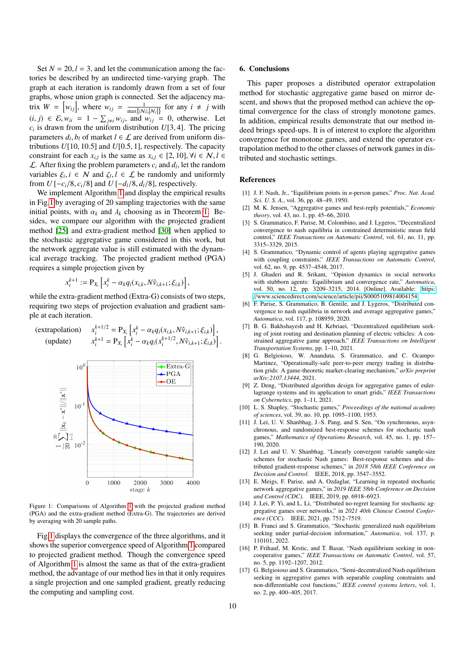Set  $N = 20$ ,  $l = 3$ , and let the communication among the factories be described by an undirected time-varying graph. The graph at each iteration is randomly drawn from a set of four graphs, whose union graph is connected. Set the adjacency matrix  $W = [w_{ij}]$ , where  $w_{ij} = \frac{1}{\max\{N_i | N_j | j\}}$  for any  $i \neq j$  with  $(i, j)$  ∈ E,  $w_{ii} = 1 - \sum_{j \neq i} w_{ij}$ , and  $w_{ij} = 0$ , otherwise. Let  $c_i$  is drawn from the uniform distribution  $I/I$  3.41. The pricing *c<sub>i</sub>* is drawn from the uniform distribution *U*[3, 4]. The pricing parameters *d<sub>i</sub> h<sub>i</sub>* of market *l*  $\in$  *f* are derived from uniform disparameters  $d_l, b_l$  of market  $l \in \mathcal{L}$  are derived from uniform distributions  $I/I10, 10, 51$  and  $I/I0, 5, 11$  respectively. The capacity tributions *<sup>U</sup>*[10, <sup>10</sup>.5] and *<sup>U</sup>*[0.5, 1], respectively. The capacity constraint for each  $x_{i,l}$  is the same as  $x_{i,l} \in [2, 10]$ ,  $\forall i \in \mathcal{N}, l \in$ <br> $\Gamma$ . After fixing the problem parameters  $c_i$  and  $d_i$ , let the random  $\mathcal{L}$ . After fixing the problem parameters  $c_i$  and  $d_l$ , let the random variables  $\xi_i$ ,  $i \in \mathbb{N}$  and  $\zeta_i$ ,  $l \in \mathcal{L}$  be randomly and uniformly<br>from  $U[-c_1/8, c_2/8]$  and  $U[-d_1/8, d_2/8]$  respectively. from  $U[-c_i/8, c_i/8]$  and  $U[-d_i/8, d_i/8]$ , respectively.

We implement Algorithm [1](#page-3-3) and display the empirical results in Fig[.1](#page-9-18) by averaging of 20 sampling trajectories with the same initial points, with  $\alpha_k$  and  $\lambda_k$  choosing as in Theorem [1.](#page-4-9) Besides, we compare our algorithm with the projected gradient method [\[25\]](#page-10-7) and extra-gradient method [\[30\]](#page-10-11) when applied to the stochastic aggregative game considered in this work, but the network aggregate value is still estimated with the dynamical average tracking. The projected gradient method (PGA) requires a simple projection given by

$$
x_i^{k+1} := \mathbf{P}_{X_i} \left[ x_i^k - \alpha_k q_i(x_{i,k}, N \hat{v}_{i,k+1}; \xi_{i,k}) \right],
$$

while the extra-gradient method (Extra-G) consists of two steps, requiring two steps of projection evaluation and gradient sample at each iteration.

(extrapolation)

\n
$$
x_{i}^{k+1/2} = P_{X_{i}} \left[ x_{i}^{k} - \alpha_{k} q_{i} (x_{i,k}, N \hat{v}_{i,k+1}; \xi_{i,k}) \right],
$$
\n(update)

\n
$$
x_{i}^{k+1} = P_{X_{i}} \left[ x_{i}^{k} - \alpha_{k} q_{i} (x_{i}^{k+1/2}, N \hat{v}_{i,k+1}; \xi_{i,k}) \right].
$$



Figure 1: Comparisons of Algorithm [1](#page-3-3) with the projected gradient method (PGA) and the extra-gradient method (Extra-G). The trajectories are derived by averaging with 20 sample paths.

Fig[.1](#page-9-18) displays the convergence of the three algorithms, and it shows the superior convergence speed of Algorithm [1](#page-3-3) compared to projected gradient method. Though the convergence speed of Algorithm [1](#page-3-3) is almost the same as that of the extra-gradient method, the advantage of our method lies in that it only requires a single projection and one sampled gradient, greatly reducing the computing and sampling cost.

### <span id="page-9-17"></span>6. Conclusions

This paper proposes a distributed operator extrapolation method for stochastic aggregative game based on mirror descent, and shows that the proposed method can achieve the optimal convergence for the class of strongly monotone games. In addition, empirical results demonstrate that our method indeed brings speed-ups. It is of interest to explore the algorithm convergence for monotone games, and extend the operator extrapolation method to the other classes of network games in distributed and stochastic settings.

# References

- <span id="page-9-0"></span>[1] J. F. Nash, Jr., "Equilibrium points in *n*-person games," *Proc. Nat. Acad. Sci. U. S. A.*, vol. 36, pp. 48–49, 1950.
- <span id="page-9-1"></span>[2] M. K. Jensen, "Aggregative games and best-reply potentials," *Economic theory*, vol. 43, no. 1, pp. 45–66, 2010.
- <span id="page-9-2"></span>[3] S. Grammatico, F. Parise, M. Colombino, and J. Lygeros, "Decentralized convergence to nash equilibria in constrained deterministic mean field control," *IEEE Transactions on Automatic Control*, vol. 61, no. 11, pp. 3315–3329, 2015.
- <span id="page-9-3"></span>[4] S. Grammatico, "Dynamic control of agents playing aggregative games with coupling constraints," *IEEE Transactions on Automatic Control*, vol. 62, no. 9, pp. 4537–4548, 2017.
- <span id="page-9-4"></span>[5] J. Ghaderi and R. Srikant, "Opinion dynamics in social networks with stubborn agents: Equilibrium and convergence rate," *Automatica*, vol. 50, no. 12, pp. 3209–3215, 2014. [Online]. Available: [https:](https://www.sciencedirect.com/science/article/pii/S0005109814004154) //[www.sciencedirect.com](https://www.sciencedirect.com/science/article/pii/S0005109814004154)/science/article/pii/S0005109814004154
- <span id="page-9-5"></span>[6] F. Parise, S. Grammatico, B. Gentile, and J. Lygeros, "Distributed convergence to nash equilibria in network and average aggregative games," *Automatica*, vol. 117, p. 108959, 2020.
- <span id="page-9-6"></span>[7] B. G. Bakhshayesh and H. Kebriaei, "Decentralized equilibrium seeking of joint routing and destination planning of electric vehicles: A constrained aggregative game approach," *IEEE Transactions on Intelligent Transportation Systems*, pp. 1–10, 2021.
- <span id="page-9-7"></span>[8] G. Belgioioso, W. Ananduta, S. Grammatico, and C. Ocampo-Martinez, "Operationally-safe peer-to-peer energy trading in distribution grids: A game-theoretic market-clearing mechanism," *arXiv preprint arXiv:2107.13444*, 2021.
- <span id="page-9-8"></span>[9] Z. Deng, "Distributed algorithm design for aggregative games of eulerlagrange systems and its application to smart grids," *IEEE Transactions on Cybernetics*, pp. 1–11, 2021.
- <span id="page-9-9"></span>[10] L. S. Shapley, "Stochastic games," *Proceedings of the national academy of sciences*, vol. 39, no. 10, pp. 1095–1100, 1953.
- <span id="page-9-10"></span>[11] J. Lei, U. V. Shanbhag, J.-S. Pang, and S. Sen, "On synchronous, asynchronous, and randomized best-response schemes for stochastic nash games," *Mathematics of Operations Research*, vol. 45, no. 1, pp. 157– 190, 2020.
- <span id="page-9-11"></span>[12] J. Lei and U. V. Shanbhag, "Linearly convergent variable sample-size schemes for stochastic Nash games: Best-response schemes and distributed gradient-response schemes," in *2018 58th IEEE Conference on Decision and Control*. IEEE, 2018, pp. 3547–3552.
- <span id="page-9-18"></span><span id="page-9-12"></span>[13] E. Meigs, F. Parise, and A. Ozdaglar, "Learning in repeated stochastic network aggregative games," in *2019 IEEE 58th Conference on Decision and Control (CDC)*. IEEE, 2019, pp. 6918–6923.
- <span id="page-9-13"></span>[14] J. Lei, P. Yi, and L. Li, "Distributed no-regret learning for stochastic aggregative games over networks," in *2021 40th Chinese Control Conference (CCC)*. IEEE, 2021, pp. 7512–7519.
- <span id="page-9-14"></span>[15] B. Franci and S. Grammatico, "Stochastic generalized nash equilibrium seeking under partial-decision information," *Automatica*, vol. 137, p. 110101, 2022.
- <span id="page-9-15"></span>[16] P. Frihauf, M. Krstic, and T. Basar, "Nash equilibrium seeking in noncooperative games," *IEEE Transactions on Automatic Control*, vol. 57, no. 5, pp. 1192–1207, 2012.
- <span id="page-9-16"></span>[17] G. Belgioioso and S. Grammatico, "Semi-decentralized Nash equilibrium seeking in aggregative games with separable coupling constraints and non-differentiable cost functions," *IEEE control systems letters*, vol. 1, no. 2, pp. 400–405, 2017.